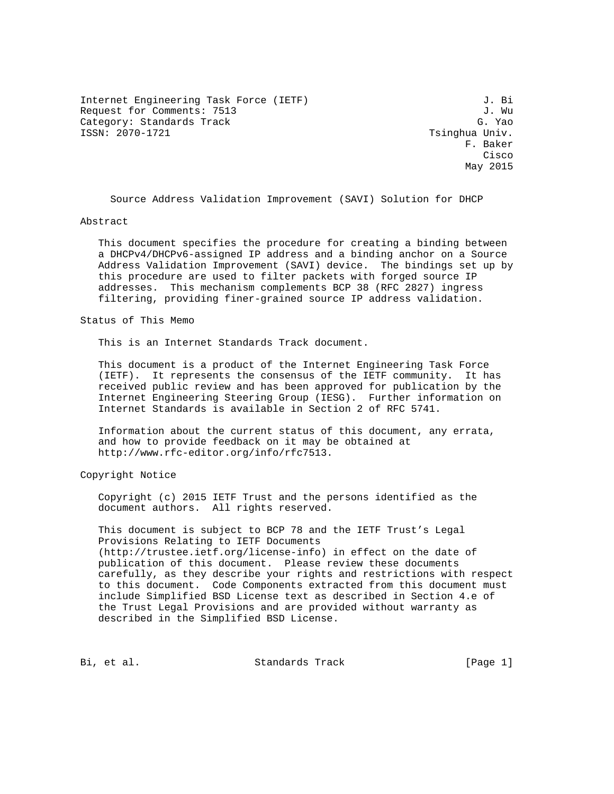Internet Engineering Task Force (IETF) 3. Bi Request for Comments: 7513 J. Wu Category: Standards Track G. Yao<br>
ISSN: 2070-1721 Category: Standards Track G. Yao

Tsinghua Univ. F. Baker na de la constitución de la constitución de la constitución de la constitución de la constitución de la constitución de la constitución de la constitución de la constitución de la constitución de la constitución de la cons May 2015

Source Address Validation Improvement (SAVI) Solution for DHCP

#### Abstract

 This document specifies the procedure for creating a binding between a DHCPv4/DHCPv6-assigned IP address and a binding anchor on a Source Address Validation Improvement (SAVI) device. The bindings set up by this procedure are used to filter packets with forged source IP addresses. This mechanism complements BCP 38 (RFC 2827) ingress filtering, providing finer-grained source IP address validation.

Status of This Memo

This is an Internet Standards Track document.

 This document is a product of the Internet Engineering Task Force (IETF). It represents the consensus of the IETF community. It has received public review and has been approved for publication by the Internet Engineering Steering Group (IESG). Further information on Internet Standards is available in Section 2 of RFC 5741.

 Information about the current status of this document, any errata, and how to provide feedback on it may be obtained at http://www.rfc-editor.org/info/rfc7513.

Copyright Notice

 Copyright (c) 2015 IETF Trust and the persons identified as the document authors. All rights reserved.

 This document is subject to BCP 78 and the IETF Trust's Legal Provisions Relating to IETF Documents (http://trustee.ietf.org/license-info) in effect on the date of publication of this document. Please review these documents carefully, as they describe your rights and restrictions with respect to this document. Code Components extracted from this document must include Simplified BSD License text as described in Section 4.e of the Trust Legal Provisions and are provided without warranty as described in the Simplified BSD License.

Bi, et al. Standards Track [Page 1]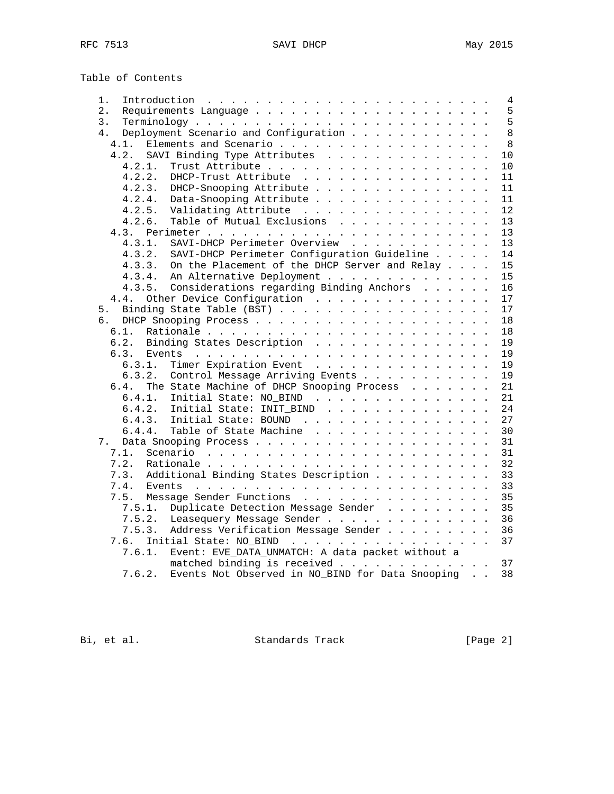Table of Contents

| 1.     | Introduction $\ldots \ldots \ldots \ldots \ldots \ldots \ldots \ldots$ |
|--------|------------------------------------------------------------------------|
| $2$ .  |                                                                        |
| 3.     |                                                                        |
| 4.     | Deployment Scenario and Configuration                                  |
| 4.1.   | Elements and Scenario                                                  |
| 4.2.   | SAVI Binding Type Attributes                                           |
| 4.2.1. |                                                                        |
| 4.2.2. | DHCP-Trust Attribute                                                   |
| 4.2.3. | DHCP-Snooping Attribute                                                |
| 4.2.4. | Data-Snooping Attribute                                                |
| 4.2.5. | Validating Attribute                                                   |
| 4.2.6. | Table of Mutual Exclusions                                             |
|        |                                                                        |
| 4.3.1. | SAVI-DHCP Perimeter Overview                                           |
| 4.3.2. | SAVI-DHCP Perimeter Configuration Guideline                            |
| 4.3.3. | On the Placement of the DHCP Server and Relay                          |
| 4.3.4. | An Alternative Deployment                                              |
| 4.3.5. | Considerations regarding Binding Anchors                               |
| 4.4.   | Other Device Configuration                                             |
| 5.     |                                                                        |
|        |                                                                        |
| 6.1.   |                                                                        |
| 6.2.   | Binding States Description                                             |
|        |                                                                        |
| 6.3.1. | Timer Expiration Event                                                 |
| 6.3.2. | Control Message Arriving Events                                        |
| 6.4.   | The State Machine of DHCP Snooping Process                             |
| 6.4.1. | Initial State: NO_BIND                                                 |
| 6.4.2. | Initial State: INIT_BIND                                               |
|        | 6.4.3. Initial State: BOUND                                            |
| 6.4.4. | Table of State Machine                                                 |
| 7.     |                                                                        |
| 7.1.   |                                                                        |
| 7.2.   |                                                                        |
| 7.3.   | Additional Binding States Description                                  |
| 7.4.   |                                                                        |
| 7.5.   | Message Sender Functions                                               |
| 7.5.1. | Duplicate Detection Message Sender                                     |
| 7.5.2. |                                                                        |
|        | Leasequery Message Sender                                              |
| 7.5.3. | Address Verification Message Sender                                    |
| 7.6.   | Initial State: NO_BIND 37                                              |
| 7.6.1. | Event: EVE_DATA_UNMATCH: A data packet without a                       |
|        | matched binding is received 37                                         |
| 7.6.2. | Events Not Observed in NO_BIND for Data Snooping                       |

Bi, et al. Standards Track [Page 2]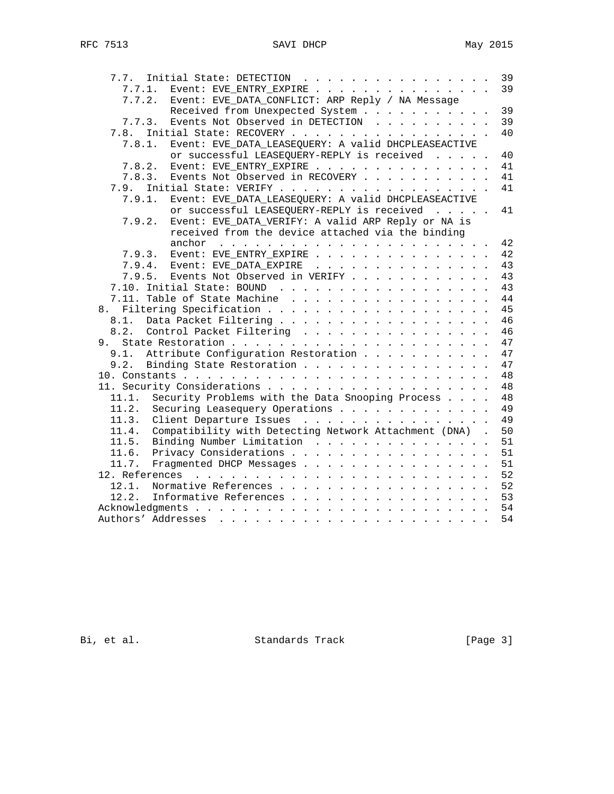| 7.7. Initial State: DETECTION                                 | 39 |
|---------------------------------------------------------------|----|
| Event: EVE_ENTRY_EXPIRE<br>7.7.1.                             | 39 |
| Event: EVE_DATA_CONFLICT: ARP Reply / NA Message<br>7.7.2.    |    |
| Received from Unexpected System                               | 39 |
| Events Not Observed in DETECTION<br>7.7.3.                    | 39 |
| 7.8. Initial State: RECOVERY                                  | 40 |
| Event: EVE_DATA_LEASEQUERY: A valid DHCPLEASEACTIVE<br>7.8.1. |    |
| or successful LEASEQUERY-REPLY is received                    | 40 |
| Event: EVE_ENTRY_EXPIRE<br>7.8.2.                             | 41 |
| 7.8.3. Events Not Observed in RECOVERY                        | 41 |
|                                                               | 41 |
| 7.9.1. Event: EVE_DATA_LEASEQUERY: A valid DHCPLEASEACTIVE    |    |
| or successful LEASEQUERY-REPLY is received                    | 41 |
| Event: EVE_DATA_VERIFY: A valid ARP Reply or NA is<br>7.9.2.  |    |
| received from the device attached via the binding             |    |
|                                                               | 42 |
| 7.9.3. Event: EVE_ENTRY_EXPIRE                                | 42 |
| 7.9.4. Event: EVE_DATA_EXPIRE                                 | 43 |
| 7.9.5. Events Not Observed in VERIFY                          | 43 |
|                                                               | 43 |
| 7.11. Table of State Machine                                  | 44 |
|                                                               | 45 |
| 8.1.                                                          | 46 |
| 8.2.<br>Control Packet Filtering                              | 46 |
| 9.                                                            | 47 |
| Attribute Configuration Restoration<br>9.1.                   | 47 |
| Binding State Restoration<br>9.2.                             | 47 |
|                                                               | 48 |
|                                                               | 48 |
| 11.1. Security Problems with the Data Snooping Process        | 48 |
| 11.2. Securing Leasequery Operations                          | 49 |
| 11.3. Client Departure Issues                                 | 49 |
| 11.4. Compatibility with Detecting Network Attachment (DNA).  | 50 |
| 11.5. Binding Number Limitation                               | 51 |
| 11.6. Privacy Considerations                                  | 51 |
| 11.7. Fragmented DHCP Messages                                | 51 |
|                                                               | 52 |
|                                                               |    |
| Normative References 52<br>12.1.                              |    |
| Informative References 53<br>12.2.                            |    |
|                                                               |    |
|                                                               | 54 |

Bi, et al. Standards Track [Page 3]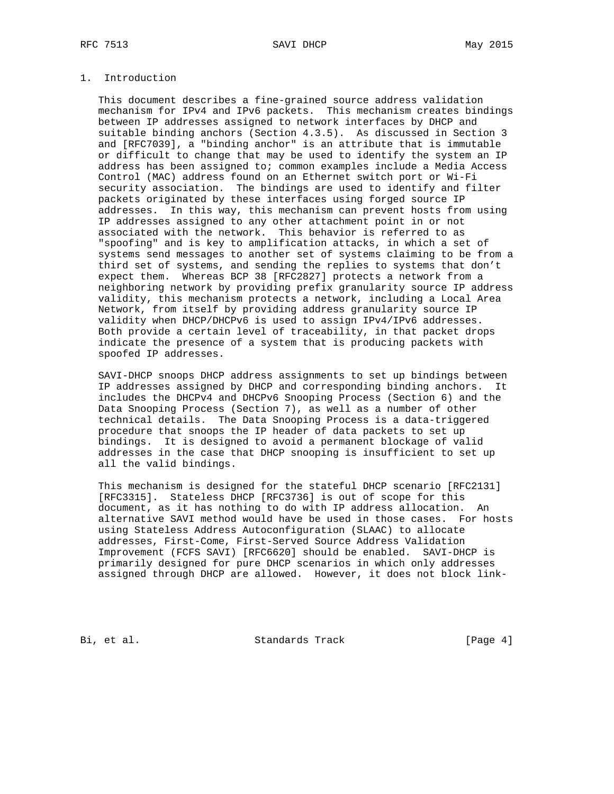### RFC 7513 SAVI DHCP May 2015

## 1. Introduction

 This document describes a fine-grained source address validation mechanism for IPv4 and IPv6 packets. This mechanism creates bindings between IP addresses assigned to network interfaces by DHCP and suitable binding anchors (Section 4.3.5). As discussed in Section 3 and [RFC7039], a "binding anchor" is an attribute that is immutable or difficult to change that may be used to identify the system an IP address has been assigned to; common examples include a Media Access Control (MAC) address found on an Ethernet switch port or Wi-Fi security association. The bindings are used to identify and filter packets originated by these interfaces using forged source IP addresses. In this way, this mechanism can prevent hosts from using IP addresses assigned to any other attachment point in or not associated with the network. This behavior is referred to as "spoofing" and is key to amplification attacks, in which a set of systems send messages to another set of systems claiming to be from a third set of systems, and sending the replies to systems that don't expect them. Whereas BCP 38 [RFC2827] protects a network from a neighboring network by providing prefix granularity source IP address validity, this mechanism protects a network, including a Local Area Network, from itself by providing address granularity source IP validity when DHCP/DHCPv6 is used to assign IPv4/IPv6 addresses. Both provide a certain level of traceability, in that packet drops indicate the presence of a system that is producing packets with spoofed IP addresses.

 SAVI-DHCP snoops DHCP address assignments to set up bindings between IP addresses assigned by DHCP and corresponding binding anchors. It includes the DHCPv4 and DHCPv6 Snooping Process (Section 6) and the Data Snooping Process (Section 7), as well as a number of other technical details. The Data Snooping Process is a data-triggered procedure that snoops the IP header of data packets to set up bindings. It is designed to avoid a permanent blockage of valid addresses in the case that DHCP snooping is insufficient to set up all the valid bindings.

 This mechanism is designed for the stateful DHCP scenario [RFC2131] [RFC3315]. Stateless DHCP [RFC3736] is out of scope for this document, as it has nothing to do with IP address allocation. An alternative SAVI method would have be used in those cases. For hosts using Stateless Address Autoconfiguration (SLAAC) to allocate addresses, First-Come, First-Served Source Address Validation Improvement (FCFS SAVI) [RFC6620] should be enabled. SAVI-DHCP is primarily designed for pure DHCP scenarios in which only addresses assigned through DHCP are allowed. However, it does not block link-

Bi, et al. Standards Track [Page 4]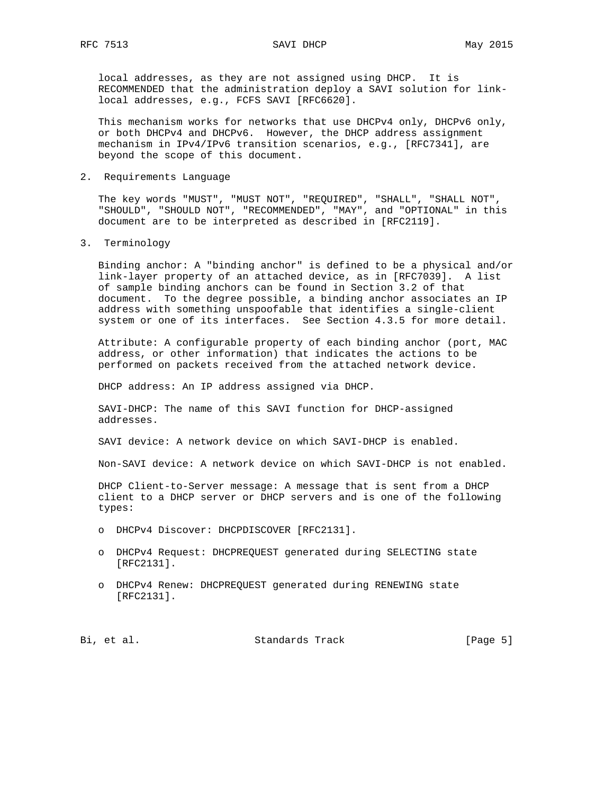local addresses, as they are not assigned using DHCP. It is RECOMMENDED that the administration deploy a SAVI solution for link local addresses, e.g., FCFS SAVI [RFC6620].

 This mechanism works for networks that use DHCPv4 only, DHCPv6 only, or both DHCPv4 and DHCPv6. However, the DHCP address assignment mechanism in IPv4/IPv6 transition scenarios, e.g., [RFC7341], are beyond the scope of this document.

#### 2. Requirements Language

 The key words "MUST", "MUST NOT", "REQUIRED", "SHALL", "SHALL NOT", "SHOULD", "SHOULD NOT", "RECOMMENDED", "MAY", and "OPTIONAL" in this document are to be interpreted as described in [RFC2119].

3. Terminology

 Binding anchor: A "binding anchor" is defined to be a physical and/or link-layer property of an attached device, as in [RFC7039]. A list of sample binding anchors can be found in Section 3.2 of that document. To the degree possible, a binding anchor associates an IP address with something unspoofable that identifies a single-client system or one of its interfaces. See Section 4.3.5 for more detail.

 Attribute: A configurable property of each binding anchor (port, MAC address, or other information) that indicates the actions to be performed on packets received from the attached network device.

DHCP address: An IP address assigned via DHCP.

 SAVI-DHCP: The name of this SAVI function for DHCP-assigned addresses.

SAVI device: A network device on which SAVI-DHCP is enabled.

Non-SAVI device: A network device on which SAVI-DHCP is not enabled.

 DHCP Client-to-Server message: A message that is sent from a DHCP client to a DHCP server or DHCP servers and is one of the following types:

- o DHCPv4 Discover: DHCPDISCOVER [RFC2131].
- o DHCPv4 Request: DHCPREQUEST generated during SELECTING state [RFC2131].
- o DHCPv4 Renew: DHCPREQUEST generated during RENEWING state [RFC2131].

Bi, et al. Standards Track [Page 5]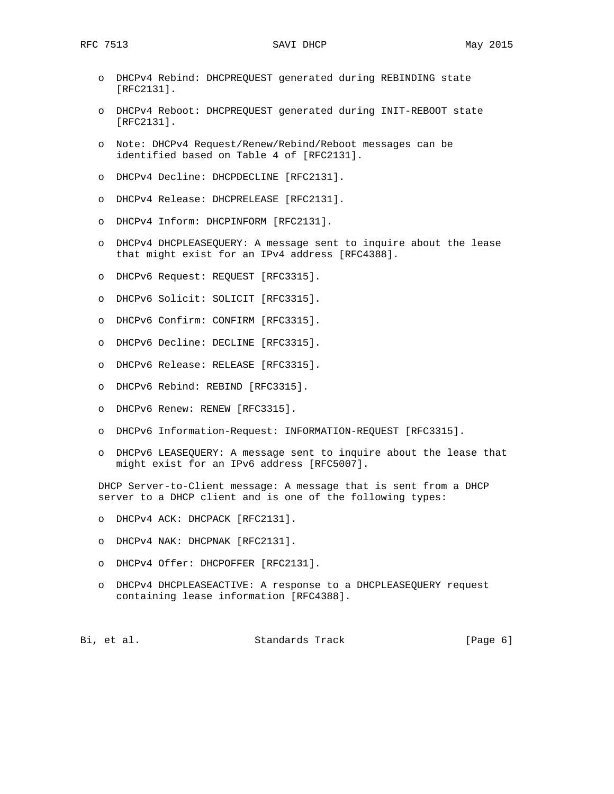- o DHCPv4 Rebind: DHCPREQUEST generated during REBINDING state [RFC2131].
- o DHCPv4 Reboot: DHCPREQUEST generated during INIT-REBOOT state [RFC2131].
- o Note: DHCPv4 Request/Renew/Rebind/Reboot messages can be identified based on Table 4 of [RFC2131].
- o DHCPv4 Decline: DHCPDECLINE [RFC2131].
- o DHCPv4 Release: DHCPRELEASE [RFC2131].
- o DHCPv4 Inform: DHCPINFORM [RFC2131].
- o DHCPv4 DHCPLEASEQUERY: A message sent to inquire about the lease that might exist for an IPv4 address [RFC4388].
- o DHCPv6 Request: REQUEST [RFC3315].
- o DHCPv6 Solicit: SOLICIT [RFC3315].
- o DHCPv6 Confirm: CONFIRM [RFC3315].
- o DHCPv6 Decline: DECLINE [RFC3315].
- o DHCPv6 Release: RELEASE [RFC3315].
- o DHCPv6 Rebind: REBIND [RFC3315].
- o DHCPv6 Renew: RENEW [RFC3315].
- o DHCPv6 Information-Request: INFORMATION-REQUEST [RFC3315].
- o DHCPv6 LEASEQUERY: A message sent to inquire about the lease that might exist for an IPv6 address [RFC5007].

 DHCP Server-to-Client message: A message that is sent from a DHCP server to a DHCP client and is one of the following types:

- o DHCPv4 ACK: DHCPACK [RFC2131].
- o DHCPv4 NAK: DHCPNAK [RFC2131].
- o DHCPv4 Offer: DHCPOFFER [RFC2131].
- o DHCPv4 DHCPLEASEACTIVE: A response to a DHCPLEASEQUERY request containing lease information [RFC4388].

Bi, et al. Standards Track [Page 6]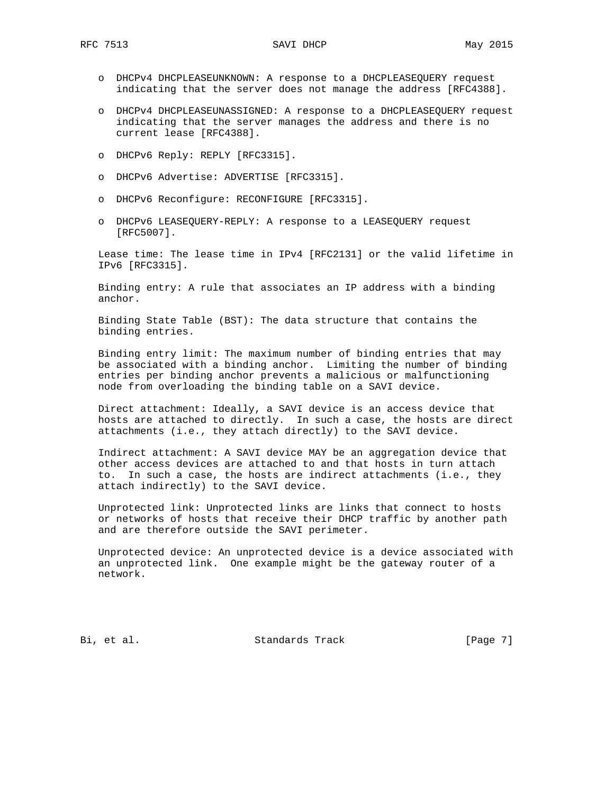- o DHCPv4 DHCPLEASEUNKNOWN: A response to a DHCPLEASEQUERY request indicating that the server does not manage the address [RFC4388].
- o DHCPv4 DHCPLEASEUNASSIGNED: A response to a DHCPLEASEQUERY request indicating that the server manages the address and there is no current lease [RFC4388].
- o DHCPv6 Reply: REPLY [RFC3315].
- o DHCPv6 Advertise: ADVERTISE [RFC3315].
- o DHCPv6 Reconfigure: RECONFIGURE [RFC3315].
- o DHCPv6 LEASEQUERY-REPLY: A response to a LEASEQUERY request [RFC5007].

 Lease time: The lease time in IPv4 [RFC2131] or the valid lifetime in IPv6 [RFC3315].

 Binding entry: A rule that associates an IP address with a binding anchor.

 Binding State Table (BST): The data structure that contains the binding entries.

 Binding entry limit: The maximum number of binding entries that may be associated with a binding anchor. Limiting the number of binding entries per binding anchor prevents a malicious or malfunctioning node from overloading the binding table on a SAVI device.

 Direct attachment: Ideally, a SAVI device is an access device that hosts are attached to directly. In such a case, the hosts are direct attachments (i.e., they attach directly) to the SAVI device.

 Indirect attachment: A SAVI device MAY be an aggregation device that other access devices are attached to and that hosts in turn attach to. In such a case, the hosts are indirect attachments (i.e., they attach indirectly) to the SAVI device.

 Unprotected link: Unprotected links are links that connect to hosts or networks of hosts that receive their DHCP traffic by another path and are therefore outside the SAVI perimeter.

 Unprotected device: An unprotected device is a device associated with an unprotected link. One example might be the gateway router of a network.

Bi, et al. Standards Track [Page 7]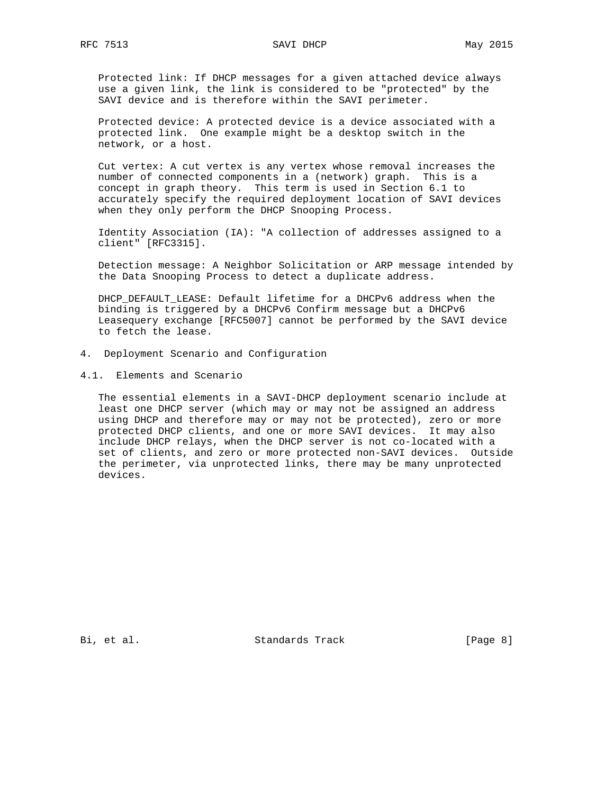Protected link: If DHCP messages for a given attached device always use a given link, the link is considered to be "protected" by the SAVI device and is therefore within the SAVI perimeter.

 Protected device: A protected device is a device associated with a protected link. One example might be a desktop switch in the network, or a host.

 Cut vertex: A cut vertex is any vertex whose removal increases the number of connected components in a (network) graph. This is a concept in graph theory. This term is used in Section 6.1 to accurately specify the required deployment location of SAVI devices when they only perform the DHCP Snooping Process.

 Identity Association (IA): "A collection of addresses assigned to a client" [RFC3315].

 Detection message: A Neighbor Solicitation or ARP message intended by the Data Snooping Process to detect a duplicate address.

 DHCP\_DEFAULT\_LEASE: Default lifetime for a DHCPv6 address when the binding is triggered by a DHCPv6 Confirm message but a DHCPv6 Leasequery exchange [RFC5007] cannot be performed by the SAVI device to fetch the lease.

- 4. Deployment Scenario and Configuration
- 4.1. Elements and Scenario

 The essential elements in a SAVI-DHCP deployment scenario include at least one DHCP server (which may or may not be assigned an address using DHCP and therefore may or may not be protected), zero or more protected DHCP clients, and one or more SAVI devices. It may also include DHCP relays, when the DHCP server is not co-located with a set of clients, and zero or more protected non-SAVI devices. Outside the perimeter, via unprotected links, there may be many unprotected devices.

Bi, et al. Standards Track [Page 8]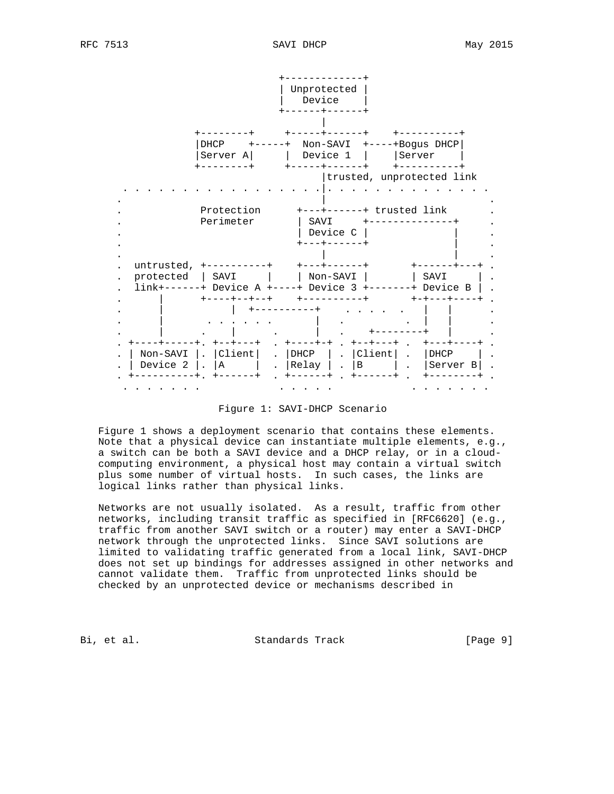

Figure 1: SAVI-DHCP Scenario

 Figure 1 shows a deployment scenario that contains these elements. Note that a physical device can instantiate multiple elements, e.g., a switch can be both a SAVI device and a DHCP relay, or in a cloud computing environment, a physical host may contain a virtual switch plus some number of virtual hosts. In such cases, the links are logical links rather than physical links.

 Networks are not usually isolated. As a result, traffic from other networks, including transit traffic as specified in [RFC6620] (e.g., traffic from another SAVI switch or a router) may enter a SAVI-DHCP network through the unprotected links. Since SAVI solutions are limited to validating traffic generated from a local link, SAVI-DHCP does not set up bindings for addresses assigned in other networks and cannot validate them. Traffic from unprotected links should be checked by an unprotected device or mechanisms described in

Bi, et al. Standards Track [Page 9]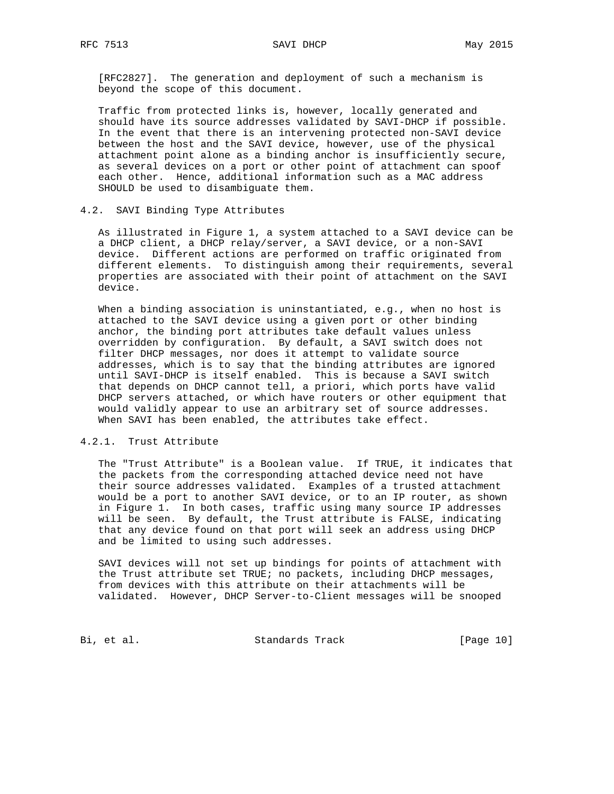[RFC2827]. The generation and deployment of such a mechanism is beyond the scope of this document.

 Traffic from protected links is, however, locally generated and should have its source addresses validated by SAVI-DHCP if possible. In the event that there is an intervening protected non-SAVI device between the host and the SAVI device, however, use of the physical attachment point alone as a binding anchor is insufficiently secure, as several devices on a port or other point of attachment can spoof each other. Hence, additional information such as a MAC address SHOULD be used to disambiguate them.

### 4.2. SAVI Binding Type Attributes

 As illustrated in Figure 1, a system attached to a SAVI device can be a DHCP client, a DHCP relay/server, a SAVI device, or a non-SAVI device. Different actions are performed on traffic originated from different elements. To distinguish among their requirements, several properties are associated with their point of attachment on the SAVI device.

 When a binding association is uninstantiated, e.g., when no host is attached to the SAVI device using a given port or other binding anchor, the binding port attributes take default values unless overridden by configuration. By default, a SAVI switch does not filter DHCP messages, nor does it attempt to validate source addresses, which is to say that the binding attributes are ignored until SAVI-DHCP is itself enabled. This is because a SAVI switch that depends on DHCP cannot tell, a priori, which ports have valid DHCP servers attached, or which have routers or other equipment that would validly appear to use an arbitrary set of source addresses. When SAVI has been enabled, the attributes take effect.

### 4.2.1. Trust Attribute

 The "Trust Attribute" is a Boolean value. If TRUE, it indicates that the packets from the corresponding attached device need not have their source addresses validated. Examples of a trusted attachment would be a port to another SAVI device, or to an IP router, as shown in Figure 1. In both cases, traffic using many source IP addresses will be seen. By default, the Trust attribute is FALSE, indicating that any device found on that port will seek an address using DHCP and be limited to using such addresses.

 SAVI devices will not set up bindings for points of attachment with the Trust attribute set TRUE; no packets, including DHCP messages, from devices with this attribute on their attachments will be validated. However, DHCP Server-to-Client messages will be snooped

Bi, et al. Standards Track [Page 10]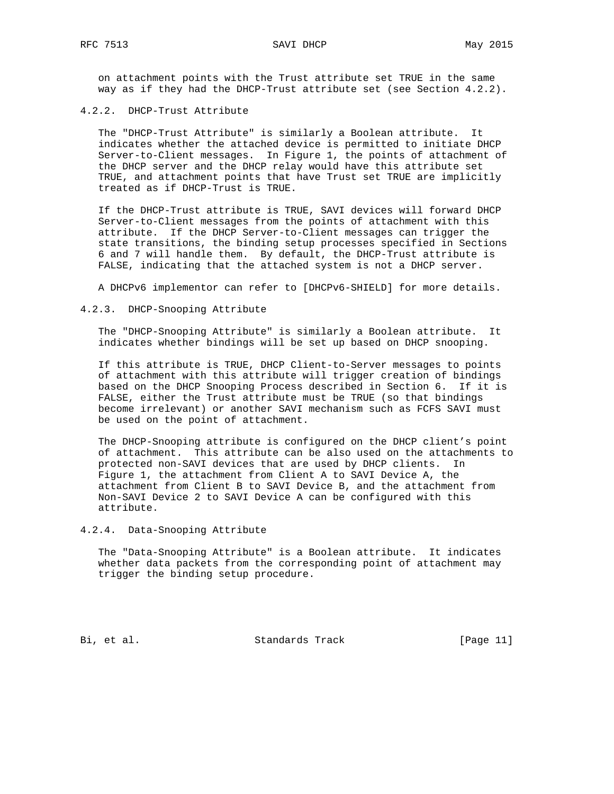on attachment points with the Trust attribute set TRUE in the same way as if they had the DHCP-Trust attribute set (see Section 4.2.2).

### 4.2.2. DHCP-Trust Attribute

 The "DHCP-Trust Attribute" is similarly a Boolean attribute. It indicates whether the attached device is permitted to initiate DHCP Server-to-Client messages. In Figure 1, the points of attachment of the DHCP server and the DHCP relay would have this attribute set TRUE, and attachment points that have Trust set TRUE are implicitly treated as if DHCP-Trust is TRUE.

 If the DHCP-Trust attribute is TRUE, SAVI devices will forward DHCP Server-to-Client messages from the points of attachment with this attribute. If the DHCP Server-to-Client messages can trigger the state transitions, the binding setup processes specified in Sections 6 and 7 will handle them. By default, the DHCP-Trust attribute is FALSE, indicating that the attached system is not a DHCP server.

A DHCPv6 implementor can refer to [DHCPv6-SHIELD] for more details.

4.2.3. DHCP-Snooping Attribute

 The "DHCP-Snooping Attribute" is similarly a Boolean attribute. It indicates whether bindings will be set up based on DHCP snooping.

 If this attribute is TRUE, DHCP Client-to-Server messages to points of attachment with this attribute will trigger creation of bindings based on the DHCP Snooping Process described in Section 6. If it is FALSE, either the Trust attribute must be TRUE (so that bindings become irrelevant) or another SAVI mechanism such as FCFS SAVI must be used on the point of attachment.

 The DHCP-Snooping attribute is configured on the DHCP client's point of attachment. This attribute can be also used on the attachments to protected non-SAVI devices that are used by DHCP clients. In Figure 1, the attachment from Client A to SAVI Device A, the attachment from Client B to SAVI Device B, and the attachment from Non-SAVI Device 2 to SAVI Device A can be configured with this attribute.

4.2.4. Data-Snooping Attribute

 The "Data-Snooping Attribute" is a Boolean attribute. It indicates whether data packets from the corresponding point of attachment may trigger the binding setup procedure.

Bi, et al. Standards Track [Page 11]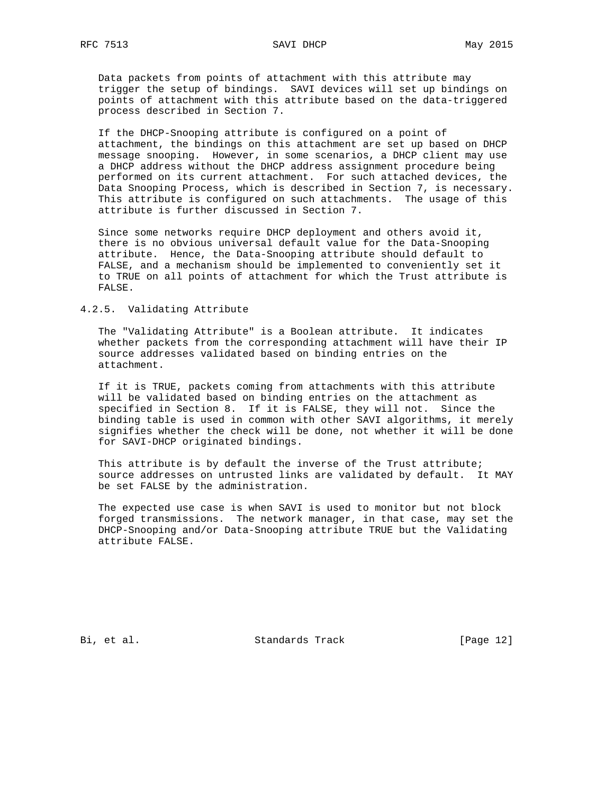Data packets from points of attachment with this attribute may trigger the setup of bindings. SAVI devices will set up bindings on points of attachment with this attribute based on the data-triggered process described in Section 7.

 If the DHCP-Snooping attribute is configured on a point of attachment, the bindings on this attachment are set up based on DHCP message snooping. However, in some scenarios, a DHCP client may use a DHCP address without the DHCP address assignment procedure being performed on its current attachment. For such attached devices, the Data Snooping Process, which is described in Section 7, is necessary. This attribute is configured on such attachments. The usage of this attribute is further discussed in Section 7.

 Since some networks require DHCP deployment and others avoid it, there is no obvious universal default value for the Data-Snooping attribute. Hence, the Data-Snooping attribute should default to FALSE, and a mechanism should be implemented to conveniently set it to TRUE on all points of attachment for which the Trust attribute is FALSE.

### 4.2.5. Validating Attribute

 The "Validating Attribute" is a Boolean attribute. It indicates whether packets from the corresponding attachment will have their IP source addresses validated based on binding entries on the attachment.

 If it is TRUE, packets coming from attachments with this attribute will be validated based on binding entries on the attachment as specified in Section 8. If it is FALSE, they will not. Since the binding table is used in common with other SAVI algorithms, it merely signifies whether the check will be done, not whether it will be done for SAVI-DHCP originated bindings.

 This attribute is by default the inverse of the Trust attribute; source addresses on untrusted links are validated by default. It MAY be set FALSE by the administration.

 The expected use case is when SAVI is used to monitor but not block forged transmissions. The network manager, in that case, may set the DHCP-Snooping and/or Data-Snooping attribute TRUE but the Validating attribute FALSE.

Bi, et al. Standards Track [Page 12]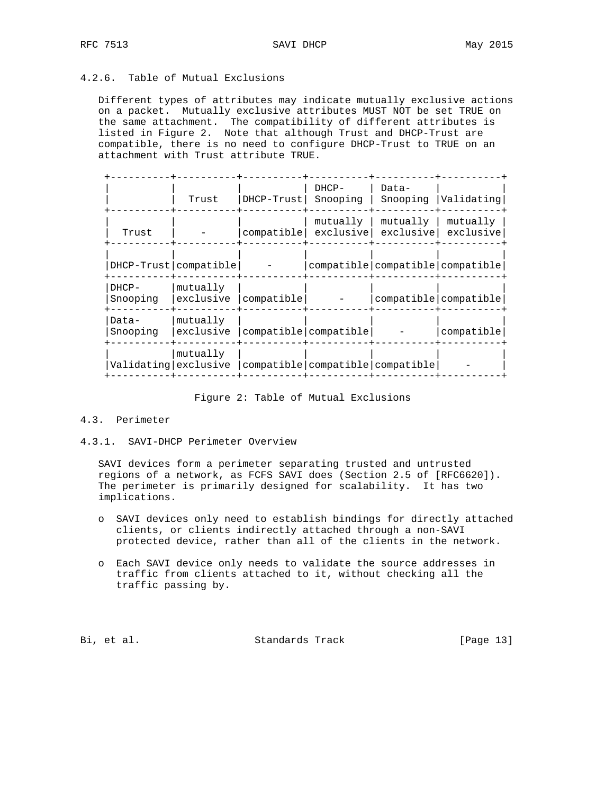## 4.2.6. Table of Mutual Exclusions

 Different types of attributes may indicate mutually exclusive actions on a packet. Mutually exclusive attributes MUST NOT be set TRUE on the same attachment. The compatibility of different attributes is listed in Figure 2. Note that although Trust and DHCP-Trust are compatible, there is no need to configure DHCP-Trust to TRUE on an attachment with Trust attribute TRUE.

|                      | Trust                   | $DHCP-Trust$ | DHCP-<br>Snooping                | Data-<br>Snooping                    | <i>Validating</i>     |
|----------------------|-------------------------|--------------|----------------------------------|--------------------------------------|-----------------------|
| Trust                |                         | compatible   | mutually<br>exclusive            | mutually<br>exclusive                | mutually<br>exclusive |
|                      | DHCP-Trust   compatible |              |                                  | compatible   compatible   compatible |                       |
| $DHCP-$<br>Snooping  | mutually<br>exclusive   | compatible   |                                  | compatible compatible                |                       |
| Data-<br>Snooping    | mutually<br>exclusive   |              | compatible compatible            |                                      | compatible            |
| Validating exclusive | mutually                |              | compatible compatible compatible |                                      |                       |

### Figure 2: Table of Mutual Exclusions

#### 4.3. Perimeter

### 4.3.1. SAVI-DHCP Perimeter Overview

 SAVI devices form a perimeter separating trusted and untrusted regions of a network, as FCFS SAVI does (Section 2.5 of [RFC6620]). The perimeter is primarily designed for scalability. It has two implications.

- o SAVI devices only need to establish bindings for directly attached clients, or clients indirectly attached through a non-SAVI protected device, rather than all of the clients in the network.
- o Each SAVI device only needs to validate the source addresses in traffic from clients attached to it, without checking all the traffic passing by.

Bi, et al. Standards Track [Page 13]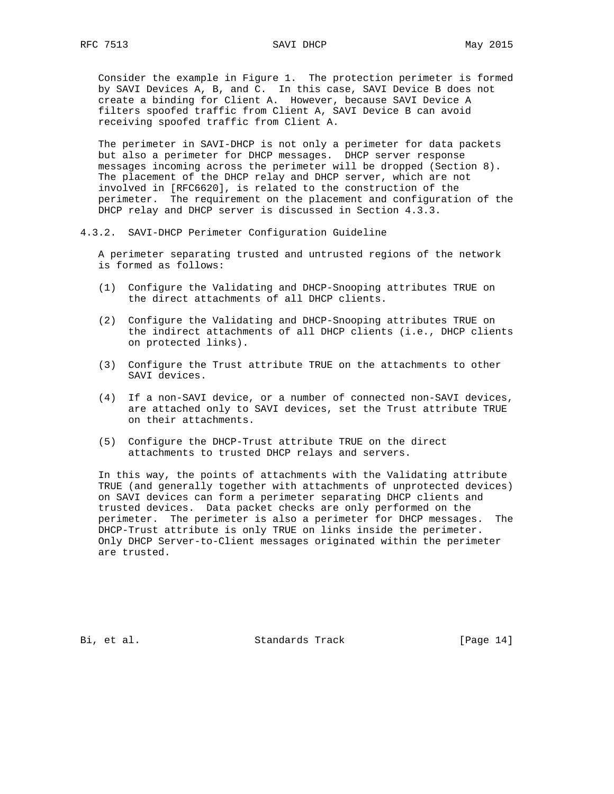Consider the example in Figure 1. The protection perimeter is formed by SAVI Devices A, B, and C. In this case, SAVI Device B does not create a binding for Client A. However, because SAVI Device A filters spoofed traffic from Client A, SAVI Device B can avoid

 The perimeter in SAVI-DHCP is not only a perimeter for data packets but also a perimeter for DHCP messages. DHCP server response messages incoming across the perimeter will be dropped (Section 8). The placement of the DHCP relay and DHCP server, which are not involved in [RFC6620], is related to the construction of the perimeter. The requirement on the placement and configuration of the DHCP relay and DHCP server is discussed in Section 4.3.3.

4.3.2. SAVI-DHCP Perimeter Configuration Guideline

receiving spoofed traffic from Client A.

 A perimeter separating trusted and untrusted regions of the network is formed as follows:

- (1) Configure the Validating and DHCP-Snooping attributes TRUE on the direct attachments of all DHCP clients.
- (2) Configure the Validating and DHCP-Snooping attributes TRUE on the indirect attachments of all DHCP clients (i.e., DHCP clients on protected links).
- (3) Configure the Trust attribute TRUE on the attachments to other SAVI devices.
- (4) If a non-SAVI device, or a number of connected non-SAVI devices, are attached only to SAVI devices, set the Trust attribute TRUE on their attachments.
- (5) Configure the DHCP-Trust attribute TRUE on the direct attachments to trusted DHCP relays and servers.

 In this way, the points of attachments with the Validating attribute TRUE (and generally together with attachments of unprotected devices) on SAVI devices can form a perimeter separating DHCP clients and trusted devices. Data packet checks are only performed on the perimeter. The perimeter is also a perimeter for DHCP messages. The DHCP-Trust attribute is only TRUE on links inside the perimeter. Only DHCP Server-to-Client messages originated within the perimeter are trusted.

Bi, et al. Standards Track [Page 14]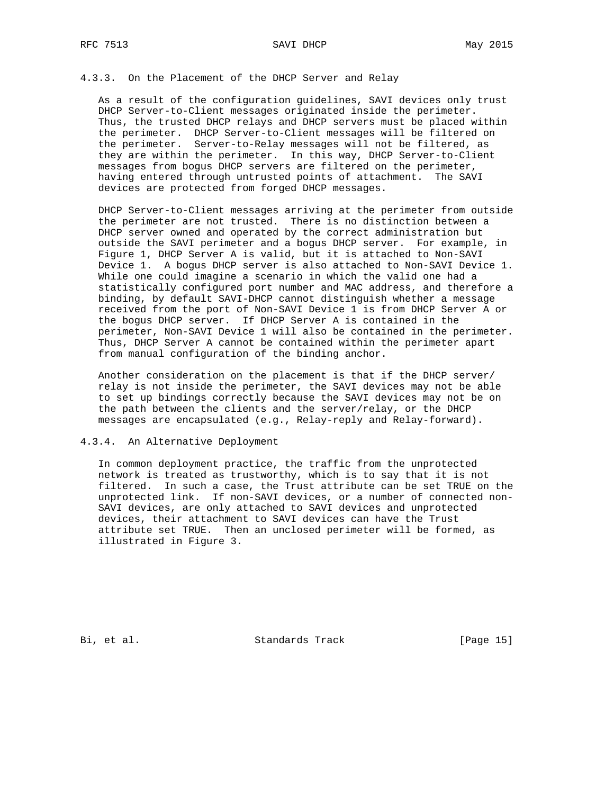#### RFC 7513 SAVI DHCP May 2015

## 4.3.3. On the Placement of the DHCP Server and Relay

 As a result of the configuration guidelines, SAVI devices only trust DHCP Server-to-Client messages originated inside the perimeter. Thus, the trusted DHCP relays and DHCP servers must be placed within the perimeter. DHCP Server-to-Client messages will be filtered on the perimeter. Server-to-Relay messages will not be filtered, as they are within the perimeter. In this way, DHCP Server-to-Client messages from bogus DHCP servers are filtered on the perimeter, having entered through untrusted points of attachment. The SAVI devices are protected from forged DHCP messages.

 DHCP Server-to-Client messages arriving at the perimeter from outside the perimeter are not trusted. There is no distinction between a DHCP server owned and operated by the correct administration but outside the SAVI perimeter and a bogus DHCP server. For example, in Figure 1, DHCP Server A is valid, but it is attached to Non-SAVI Device 1. A bogus DHCP server is also attached to Non-SAVI Device 1. While one could imagine a scenario in which the valid one had a statistically configured port number and MAC address, and therefore a binding, by default SAVI-DHCP cannot distinguish whether a message received from the port of Non-SAVI Device 1 is from DHCP Server A or the bogus DHCP server. If DHCP Server A is contained in the perimeter, Non-SAVI Device 1 will also be contained in the perimeter. Thus, DHCP Server A cannot be contained within the perimeter apart from manual configuration of the binding anchor.

 Another consideration on the placement is that if the DHCP server/ relay is not inside the perimeter, the SAVI devices may not be able to set up bindings correctly because the SAVI devices may not be on the path between the clients and the server/relay, or the DHCP messages are encapsulated (e.g., Relay-reply and Relay-forward).

#### 4.3.4. An Alternative Deployment

 In common deployment practice, the traffic from the unprotected network is treated as trustworthy, which is to say that it is not filtered. In such a case, the Trust attribute can be set TRUE on the unprotected link. If non-SAVI devices, or a number of connected non- SAVI devices, are only attached to SAVI devices and unprotected devices, their attachment to SAVI devices can have the Trust attribute set TRUE. Then an unclosed perimeter will be formed, as illustrated in Figure 3.

Bi, et al. Standards Track [Page 15]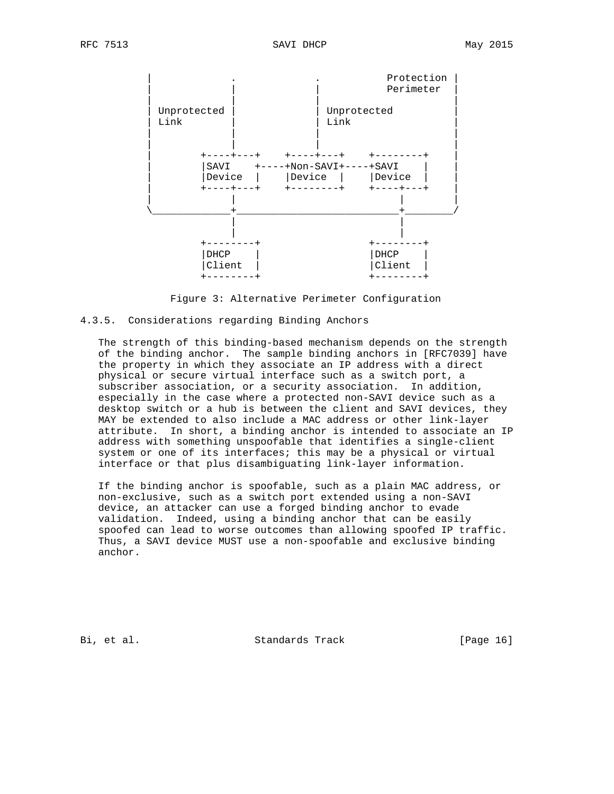

Figure 3: Alternative Perimeter Configuration

#### 4.3.5. Considerations regarding Binding Anchors

 The strength of this binding-based mechanism depends on the strength of the binding anchor. The sample binding anchors in [RFC7039] have the property in which they associate an IP address with a direct physical or secure virtual interface such as a switch port, a subscriber association, or a security association. In addition, especially in the case where a protected non-SAVI device such as a desktop switch or a hub is between the client and SAVI devices, they MAY be extended to also include a MAC address or other link-layer attribute. In short, a binding anchor is intended to associate an IP address with something unspoofable that identifies a single-client system or one of its interfaces; this may be a physical or virtual interface or that plus disambiguating link-layer information.

 If the binding anchor is spoofable, such as a plain MAC address, or non-exclusive, such as a switch port extended using a non-SAVI device, an attacker can use a forged binding anchor to evade validation. Indeed, using a binding anchor that can be easily spoofed can lead to worse outcomes than allowing spoofed IP traffic. Thus, a SAVI device MUST use a non-spoofable and exclusive binding anchor.

Bi, et al. Standards Track [Page 16]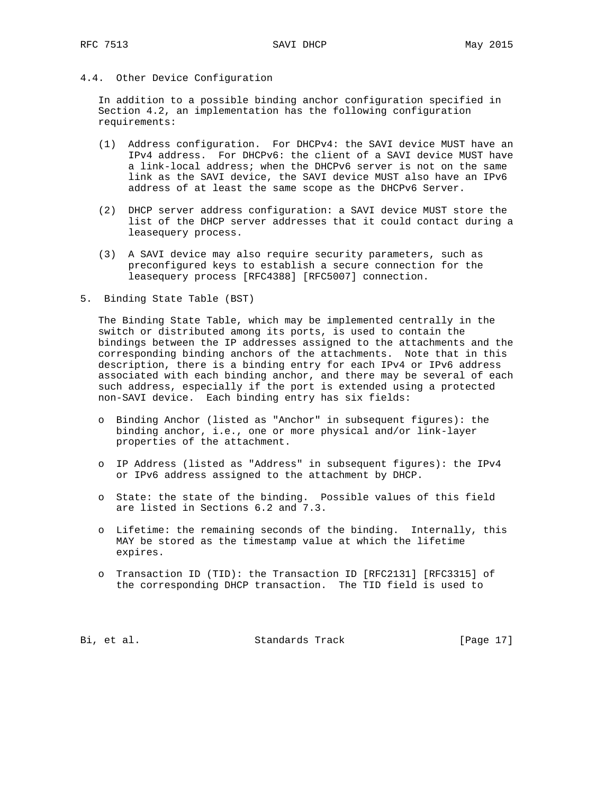4.4. Other Device Configuration

 In addition to a possible binding anchor configuration specified in Section 4.2, an implementation has the following configuration requirements:

- (1) Address configuration. For DHCPv4: the SAVI device MUST have an IPv4 address. For DHCPv6: the client of a SAVI device MUST have a link-local address; when the DHCPv6 server is not on the same link as the SAVI device, the SAVI device MUST also have an IPv6 address of at least the same scope as the DHCPv6 Server.
- (2) DHCP server address configuration: a SAVI device MUST store the list of the DHCP server addresses that it could contact during a leasequery process.
- (3) A SAVI device may also require security parameters, such as preconfigured keys to establish a secure connection for the leasequery process [RFC4388] [RFC5007] connection.
- 5. Binding State Table (BST)

 The Binding State Table, which may be implemented centrally in the switch or distributed among its ports, is used to contain the bindings between the IP addresses assigned to the attachments and the corresponding binding anchors of the attachments. Note that in this description, there is a binding entry for each IPv4 or IPv6 address associated with each binding anchor, and there may be several of each such address, especially if the port is extended using a protected non-SAVI device. Each binding entry has six fields:

- o Binding Anchor (listed as "Anchor" in subsequent figures): the binding anchor, i.e., one or more physical and/or link-layer properties of the attachment.
- o IP Address (listed as "Address" in subsequent figures): the IPv4 or IPv6 address assigned to the attachment by DHCP.
- o State: the state of the binding. Possible values of this field are listed in Sections 6.2 and 7.3.
- o Lifetime: the remaining seconds of the binding. Internally, this MAY be stored as the timestamp value at which the lifetime expires.
- o Transaction ID (TID): the Transaction ID [RFC2131] [RFC3315] of the corresponding DHCP transaction. The TID field is used to

Bi, et al. Standards Track [Page 17]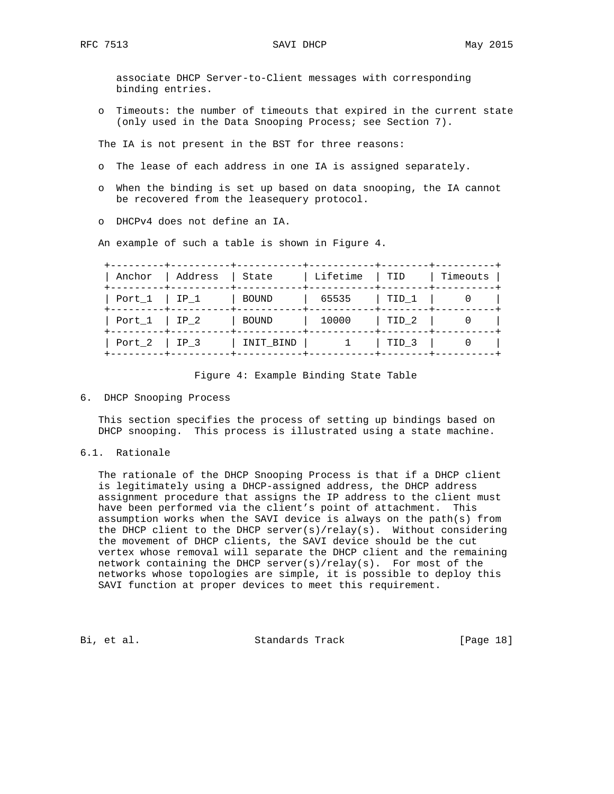associate DHCP Server-to-Client messages with corresponding binding entries.

 o Timeouts: the number of timeouts that expired in the current state (only used in the Data Snooping Process; see Section 7).

The IA is not present in the BST for three reasons:

- o The lease of each address in one IA is assigned separately.
- o When the binding is set up based on data snooping, the IA cannot be recovered from the leasequery protocol.
- o DHCPv4 does not define an IA.

An example of such a table is shown in Figure 4.

| Anchor<br>-------+ | Address     | State        | Lifetime | TID              | Timeouts |
|--------------------|-------------|--------------|----------|------------------|----------|
| Port $1$   IP $1$  |             | <b>BOUND</b> | 65535    | TID 1            |          |
| Port 1             | $\Box$ IP 2 | BOUND        | 10000    | TID <sub>2</sub> |          |
| Port 2             | $ $ IP 3    | INIT BIND    |          | TID <sub>3</sub> |          |

### Figure 4: Example Binding State Table

6. DHCP Snooping Process

 This section specifies the process of setting up bindings based on DHCP snooping. This process is illustrated using a state machine.

6.1. Rationale

 The rationale of the DHCP Snooping Process is that if a DHCP client is legitimately using a DHCP-assigned address, the DHCP address assignment procedure that assigns the IP address to the client must have been performed via the client's point of attachment. This assumption works when the SAVI device is always on the path(s) from the DHCP client to the DHCP server(s)/relay(s). Without considering the movement of DHCP clients, the SAVI device should be the cut vertex whose removal will separate the DHCP client and the remaining network containing the DHCP server(s)/relay(s). For most of the networks whose topologies are simple, it is possible to deploy this SAVI function at proper devices to meet this requirement.

Bi, et al. Standards Track [Page 18]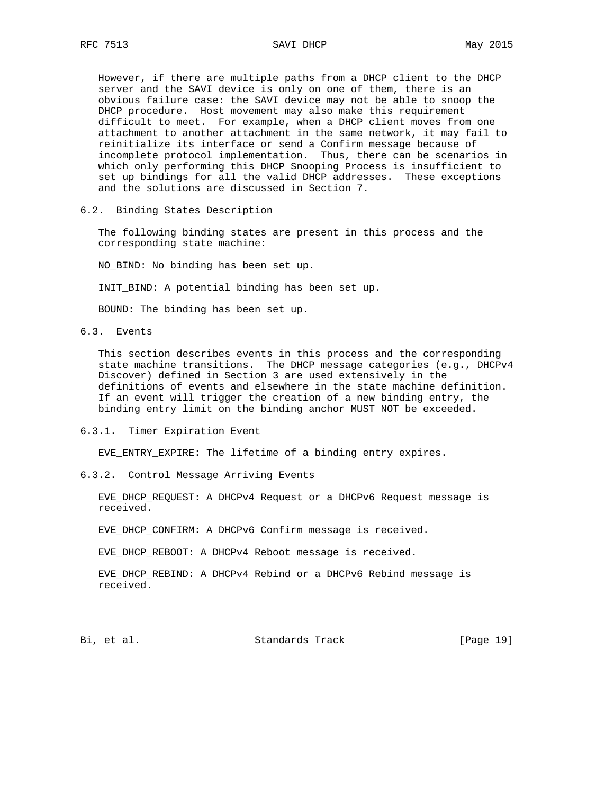However, if there are multiple paths from a DHCP client to the DHCP server and the SAVI device is only on one of them, there is an obvious failure case: the SAVI device may not be able to snoop the DHCP procedure. Host movement may also make this requirement difficult to meet. For example, when a DHCP client moves from one attachment to another attachment in the same network, it may fail to reinitialize its interface or send a Confirm message because of incomplete protocol implementation. Thus, there can be scenarios in which only performing this DHCP Snooping Process is insufficient to set up bindings for all the valid DHCP addresses. These exceptions and the solutions are discussed in Section 7.

6.2. Binding States Description

 The following binding states are present in this process and the corresponding state machine:

NO\_BIND: No binding has been set up.

INIT\_BIND: A potential binding has been set up.

BOUND: The binding has been set up.

6.3. Events

 This section describes events in this process and the corresponding state machine transitions. The DHCP message categories (e.g., DHCPv4 Discover) defined in Section 3 are used extensively in the definitions of events and elsewhere in the state machine definition. If an event will trigger the creation of a new binding entry, the binding entry limit on the binding anchor MUST NOT be exceeded.

6.3.1. Timer Expiration Event

EVE\_ENTRY\_EXPIRE: The lifetime of a binding entry expires.

6.3.2. Control Message Arriving Events

 EVE\_DHCP\_REQUEST: A DHCPv4 Request or a DHCPv6 Request message is received.

EVE\_DHCP\_CONFIRM: A DHCPv6 Confirm message is received.

EVE\_DHCP\_REBOOT: A DHCPv4 Reboot message is received.

 EVE\_DHCP\_REBIND: A DHCPv4 Rebind or a DHCPv6 Rebind message is received.

Bi, et al. Standards Track [Page 19]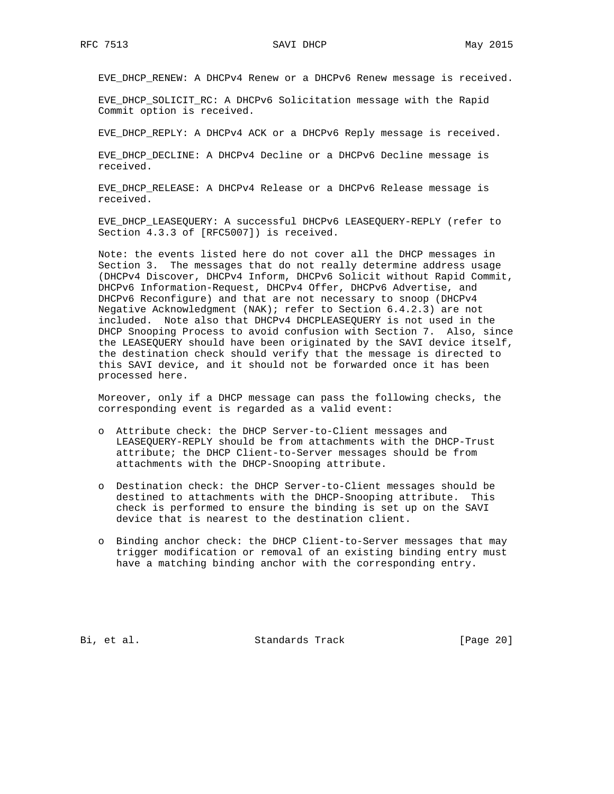EVE\_DHCP\_RENEW: A DHCPv4 Renew or a DHCPv6 Renew message is received.

 EVE\_DHCP\_SOLICIT\_RC: A DHCPv6 Solicitation message with the Rapid Commit option is received.

EVE\_DHCP\_REPLY: A DHCPv4 ACK or a DHCPv6 Reply message is received.

 EVE\_DHCP\_DECLINE: A DHCPv4 Decline or a DHCPv6 Decline message is received.

 EVE\_DHCP\_RELEASE: A DHCPv4 Release or a DHCPv6 Release message is received.

 EVE\_DHCP\_LEASEQUERY: A successful DHCPv6 LEASEQUERY-REPLY (refer to Section 4.3.3 of [RFC5007]) is received.

 Note: the events listed here do not cover all the DHCP messages in Section 3. The messages that do not really determine address usage (DHCPv4 Discover, DHCPv4 Inform, DHCPv6 Solicit without Rapid Commit, DHCPv6 Information-Request, DHCPv4 Offer, DHCPv6 Advertise, and DHCPv6 Reconfigure) and that are not necessary to snoop (DHCPv4 Negative Acknowledgment (NAK); refer to Section 6.4.2.3) are not included. Note also that DHCPv4 DHCPLEASEQUERY is not used in the DHCP Snooping Process to avoid confusion with Section 7. Also, since the LEASEQUERY should have been originated by the SAVI device itself, the destination check should verify that the message is directed to this SAVI device, and it should not be forwarded once it has been processed here.

 Moreover, only if a DHCP message can pass the following checks, the corresponding event is regarded as a valid event:

- o Attribute check: the DHCP Server-to-Client messages and LEASEQUERY-REPLY should be from attachments with the DHCP-Trust attribute; the DHCP Client-to-Server messages should be from attachments with the DHCP-Snooping attribute.
- o Destination check: the DHCP Server-to-Client messages should be destined to attachments with the DHCP-Snooping attribute. This check is performed to ensure the binding is set up on the SAVI device that is nearest to the destination client.
- o Binding anchor check: the DHCP Client-to-Server messages that may trigger modification or removal of an existing binding entry must have a matching binding anchor with the corresponding entry.

Bi, et al. Standards Track [Page 20]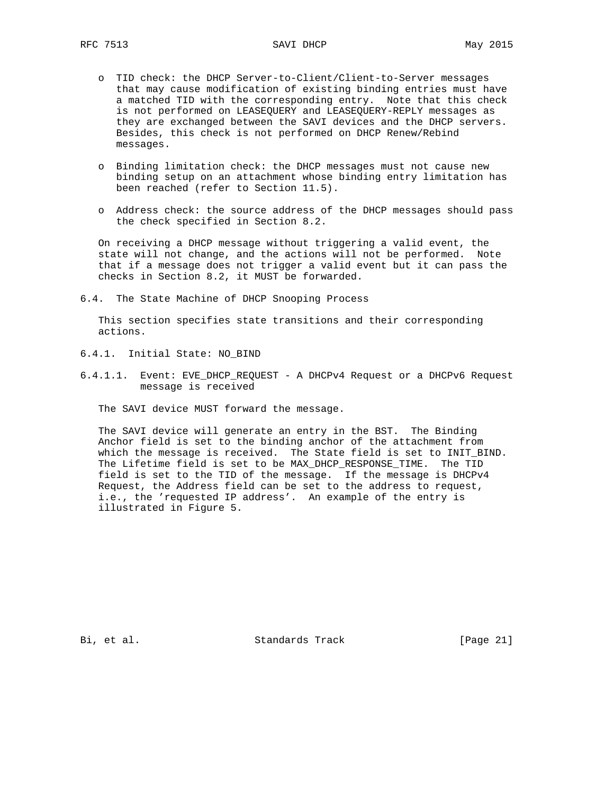- o TID check: the DHCP Server-to-Client/Client-to-Server messages that may cause modification of existing binding entries must have a matched TID with the corresponding entry. Note that this check is not performed on LEASEQUERY and LEASEQUERY-REPLY messages as they are exchanged between the SAVI devices and the DHCP servers. Besides, this check is not performed on DHCP Renew/Rebind messages.
- o Binding limitation check: the DHCP messages must not cause new binding setup on an attachment whose binding entry limitation has been reached (refer to Section 11.5).
- o Address check: the source address of the DHCP messages should pass the check specified in Section 8.2.

 On receiving a DHCP message without triggering a valid event, the state will not change, and the actions will not be performed. Note that if a message does not trigger a valid event but it can pass the checks in Section 8.2, it MUST be forwarded.

6.4. The State Machine of DHCP Snooping Process

 This section specifies state transitions and their corresponding actions.

- 6.4.1. Initial State: NO\_BIND
- 6.4.1.1. Event: EVE\_DHCP\_REQUEST A DHCPv4 Request or a DHCPv6 Request message is received

The SAVI device MUST forward the message.

 The SAVI device will generate an entry in the BST. The Binding Anchor field is set to the binding anchor of the attachment from which the message is received. The State field is set to INIT\_BIND. The Lifetime field is set to be MAX\_DHCP\_RESPONSE\_TIME. The TID field is set to the TID of the message. If the message is DHCPv4 Request, the Address field can be set to the address to request, i.e., the 'requested IP address'. An example of the entry is illustrated in Figure 5.

Bi, et al. Standards Track [Page 21]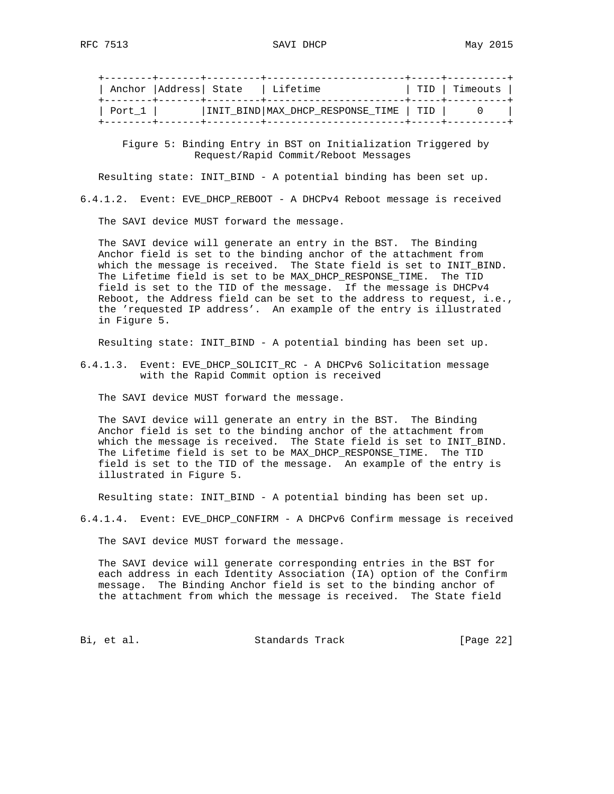|        | Anchor   Address   State | l Lifetime                               | TID   Timeouts |
|--------|--------------------------|------------------------------------------|----------------|
| Port 1 |                          | INIT_BIND   MAX_DHCP_RESPONSE_TIME   TID |                |

 Figure 5: Binding Entry in BST on Initialization Triggered by Request/Rapid Commit/Reboot Messages

Resulting state: INIT\_BIND - A potential binding has been set up.

6.4.1.2. Event: EVE\_DHCP\_REBOOT - A DHCPv4 Reboot message is received

The SAVI device MUST forward the message.

 The SAVI device will generate an entry in the BST. The Binding Anchor field is set to the binding anchor of the attachment from which the message is received. The State field is set to INIT\_BIND. The Lifetime field is set to be MAX\_DHCP\_RESPONSE\_TIME. The TID field is set to the TID of the message. If the message is DHCPv4 Reboot, the Address field can be set to the address to request, i.e., the 'requested IP address'. An example of the entry is illustrated in Figure 5.

Resulting state: INIT\_BIND - A potential binding has been set up.

6.4.1.3. Event: EVE\_DHCP\_SOLICIT\_RC - A DHCPv6 Solicitation message with the Rapid Commit option is received

The SAVI device MUST forward the message.

 The SAVI device will generate an entry in the BST. The Binding Anchor field is set to the binding anchor of the attachment from which the message is received. The State field is set to INIT\_BIND. The Lifetime field is set to be MAX\_DHCP\_RESPONSE\_TIME. The TID field is set to the TID of the message. An example of the entry is illustrated in Figure 5.

Resulting state: INIT\_BIND - A potential binding has been set up.

6.4.1.4. Event: EVE\_DHCP\_CONFIRM - A DHCPv6 Confirm message is received

The SAVI device MUST forward the message.

 The SAVI device will generate corresponding entries in the BST for each address in each Identity Association (IA) option of the Confirm message. The Binding Anchor field is set to the binding anchor of the attachment from which the message is received. The State field

Bi, et al. Standards Track [Page 22]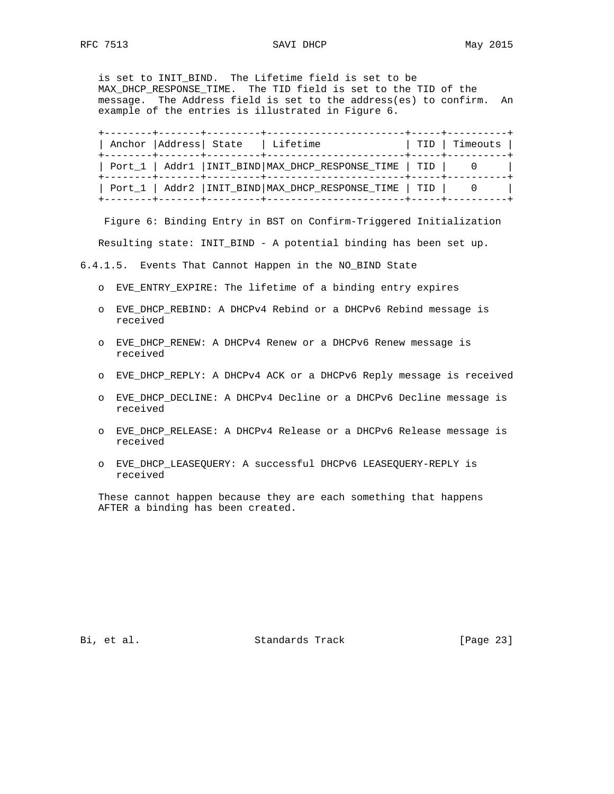is set to INIT\_BIND. The Lifetime field is set to be MAX\_DHCP\_RESPONSE\_TIME. The TID field is set to the TID of the message. The Address field is set to the address(es) to confirm. An example of the entries is illustrated in Figure 6.

| . _ _ _ _ _ _ _ + _ _ _ _ _ _ _ + _ _ _ _ _ _ _ _ _ +<br>Anchor   Address   State   Lifetime<br>--------+-------+---------+----- |                                                               | TID   Timeouts |
|----------------------------------------------------------------------------------------------------------------------------------|---------------------------------------------------------------|----------------|
|                                                                                                                                  | Port_1   Addr1   INIT_BIND   MAX_DHCP_RESPONSE_TIME   TID   0 |                |
|                                                                                                                                  | Port_1   Addr2   INIT_BIND   MAX_DHCP_RESPONSE_TIME   TID   0 |                |

 Figure 6: Binding Entry in BST on Confirm-Triggered Initialization Resulting state: INIT\_BIND - A potential binding has been set up.

6.4.1.5. Events That Cannot Happen in the NO\_BIND State

- o EVE\_ENTRY\_EXPIRE: The lifetime of a binding entry expires
- o EVE\_DHCP\_REBIND: A DHCPv4 Rebind or a DHCPv6 Rebind message is received
- o EVE\_DHCP\_RENEW: A DHCPv4 Renew or a DHCPv6 Renew message is received
- o EVE\_DHCP\_REPLY: A DHCPv4 ACK or a DHCPv6 Reply message is received
- o EVE\_DHCP\_DECLINE: A DHCPv4 Decline or a DHCPv6 Decline message is received
- o EVE\_DHCP\_RELEASE: A DHCPv4 Release or a DHCPv6 Release message is received
- o EVE\_DHCP\_LEASEQUERY: A successful DHCPv6 LEASEQUERY-REPLY is received

 These cannot happen because they are each something that happens AFTER a binding has been created.

Bi, et al. Standards Track [Page 23]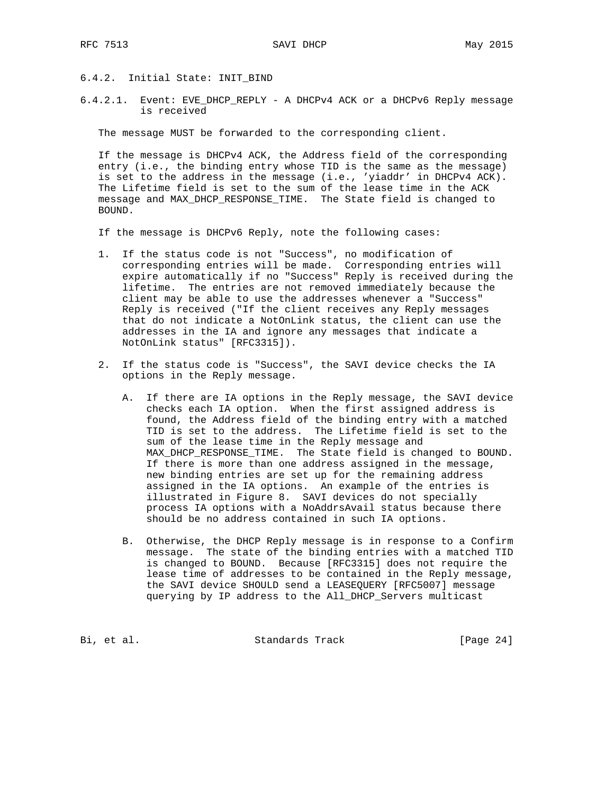## 6.4.2. Initial State: INIT\_BIND

6.4.2.1. Event: EVE\_DHCP\_REPLY - A DHCPv4 ACK or a DHCPv6 Reply message is received

The message MUST be forwarded to the corresponding client.

 If the message is DHCPv4 ACK, the Address field of the corresponding entry (i.e., the binding entry whose TID is the same as the message) is set to the address in the message (i.e., 'yiaddr' in DHCPv4 ACK). The Lifetime field is set to the sum of the lease time in the ACK message and MAX\_DHCP\_RESPONSE\_TIME. The State field is changed to BOUND.

If the message is DHCPv6 Reply, note the following cases:

- 1. If the status code is not "Success", no modification of corresponding entries will be made. Corresponding entries will expire automatically if no "Success" Reply is received during the lifetime. The entries are not removed immediately because the client may be able to use the addresses whenever a "Success" Reply is received ("If the client receives any Reply messages that do not indicate a NotOnLink status, the client can use the addresses in the IA and ignore any messages that indicate a NotOnLink status" [RFC3315]).
- 2. If the status code is "Success", the SAVI device checks the IA options in the Reply message.
	- A. If there are IA options in the Reply message, the SAVI device checks each IA option. When the first assigned address is found, the Address field of the binding entry with a matched TID is set to the address. The Lifetime field is set to the sum of the lease time in the Reply message and MAX\_DHCP\_RESPONSE\_TIME. The State field is changed to BOUND. If there is more than one address assigned in the message, new binding entries are set up for the remaining address assigned in the IA options. An example of the entries is illustrated in Figure 8. SAVI devices do not specially process IA options with a NoAddrsAvail status because there should be no address contained in such IA options.
	- B. Otherwise, the DHCP Reply message is in response to a Confirm message. The state of the binding entries with a matched TID is changed to BOUND. Because [RFC3315] does not require the lease time of addresses to be contained in the Reply message, the SAVI device SHOULD send a LEASEQUERY [RFC5007] message querying by IP address to the All\_DHCP\_Servers multicast

Bi, et al. Standards Track [Page 24]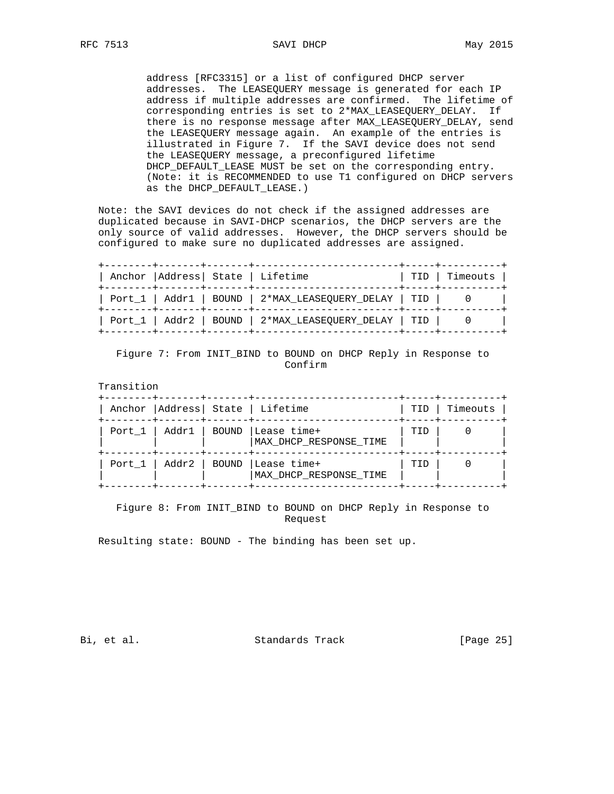RFC 7513 SAVI DHCP May 2015

 address [RFC3315] or a list of configured DHCP server addresses. The LEASEQUERY message is generated for each IP address if multiple addresses are confirmed. The lifetime of corresponding entries is set to 2\*MAX\_LEASEQUERY\_DELAY. If there is no response message after MAX\_LEASEQUERY\_DELAY, send the LEASEQUERY message again. An example of the entries is illustrated in Figure 7. If the SAVI device does not send the LEASEQUERY message, a preconfigured lifetime DHCP\_DEFAULT\_LEASE MUST be set on the corresponding entry. (Note: it is RECOMMENDED to use T1 configured on DHCP servers as the DHCP\_DEFAULT\_LEASE.)

 Note: the SAVI devices do not check if the assigned addresses are duplicated because in SAVI-DHCP scenarios, the DHCP servers are the only source of valid addresses. However, the DHCP servers should be configured to make sure no duplicated addresses are assigned.

| --------+-------+-------+------- | Anchor   Address   State   Lifetime<br>+--------+-------+-------+-------- | -----+---------<br>  TID   Timeouts |
|----------------------------------|---------------------------------------------------------------------------|-------------------------------------|
|                                  | Port_1   Addr1   BOUND   2*MAX_LEASEQUERY_DELAY   TID   0                 |                                     |
|                                  | Port_1   Addr2   BOUND   2*MAX_LEASEQUERY_DELAY   TID   0                 |                                     |

### Figure 7: From INIT\_BIND to BOUND on DHCP Reply in Response to Confirm

 Transition +--------+-------+-------+------------------------+-----+----------+ | Anchor | Address | State | Lifetime | TID | Timeouts | +--------+-------+-------+------------------------+-----+----------+ | Port\_1 | Addr1 | BOUND |Lease time+ | TID | 0 | | | |MAX\_DHCP\_RESPONSE\_TIME | | | +--------+-------+-------+------------------------+-----+----------+  $|$  Port\_1  $|$  Addr2  $|$  BOUND  $|$  Lease time+ | | | |MAX\_DHCP\_RESPONSE\_TIME | | | +--------+-------+-------+------------------------+-----+----------+

## Figure 8: From INIT\_BIND to BOUND on DHCP Reply in Response to Request

Resulting state: BOUND - The binding has been set up.

Bi, et al. Standards Track [Page 25]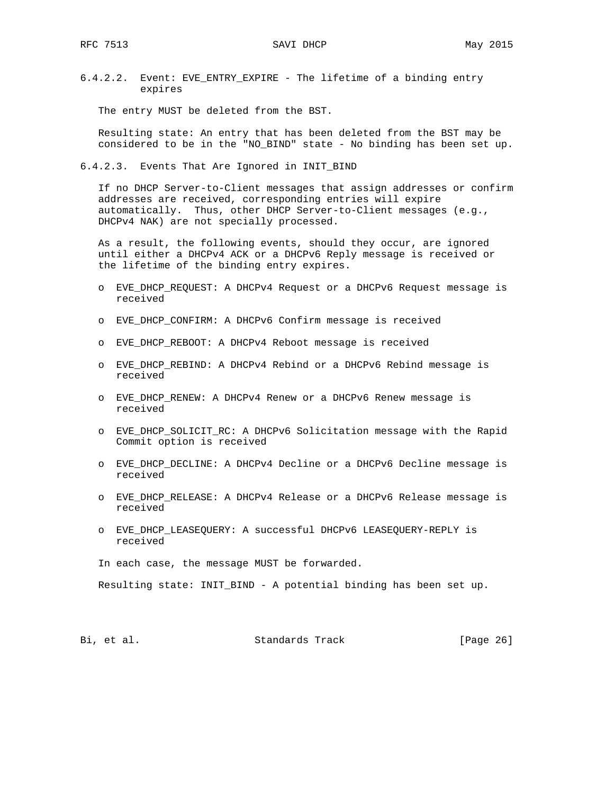6.4.2.2. Event: EVE\_ENTRY\_EXPIRE - The lifetime of a binding entry expires

The entry MUST be deleted from the BST.

 Resulting state: An entry that has been deleted from the BST may be considered to be in the "NO\_BIND" state - No binding has been set up.

6.4.2.3. Events That Are Ignored in INIT\_BIND

 If no DHCP Server-to-Client messages that assign addresses or confirm addresses are received, corresponding entries will expire automatically. Thus, other DHCP Server-to-Client messages (e.g., DHCPv4 NAK) are not specially processed.

 As a result, the following events, should they occur, are ignored until either a DHCPv4 ACK or a DHCPv6 Reply message is received or the lifetime of the binding entry expires.

- o EVE\_DHCP\_REQUEST: A DHCPv4 Request or a DHCPv6 Request message is received
- o EVE\_DHCP\_CONFIRM: A DHCPv6 Confirm message is received
- o EVE\_DHCP\_REBOOT: A DHCPv4 Reboot message is received
- o EVE\_DHCP\_REBIND: A DHCPv4 Rebind or a DHCPv6 Rebind message is received
- o EVE\_DHCP\_RENEW: A DHCPv4 Renew or a DHCPv6 Renew message is received
- o EVE\_DHCP\_SOLICIT\_RC: A DHCPv6 Solicitation message with the Rapid Commit option is received
- o EVE\_DHCP\_DECLINE: A DHCPv4 Decline or a DHCPv6 Decline message is received
- o EVE\_DHCP\_RELEASE: A DHCPv4 Release or a DHCPv6 Release message is received
- o EVE\_DHCP\_LEASEQUERY: A successful DHCPv6 LEASEQUERY-REPLY is received

In each case, the message MUST be forwarded.

Resulting state: INIT\_BIND - A potential binding has been set up.

Bi, et al. Standards Track [Page 26]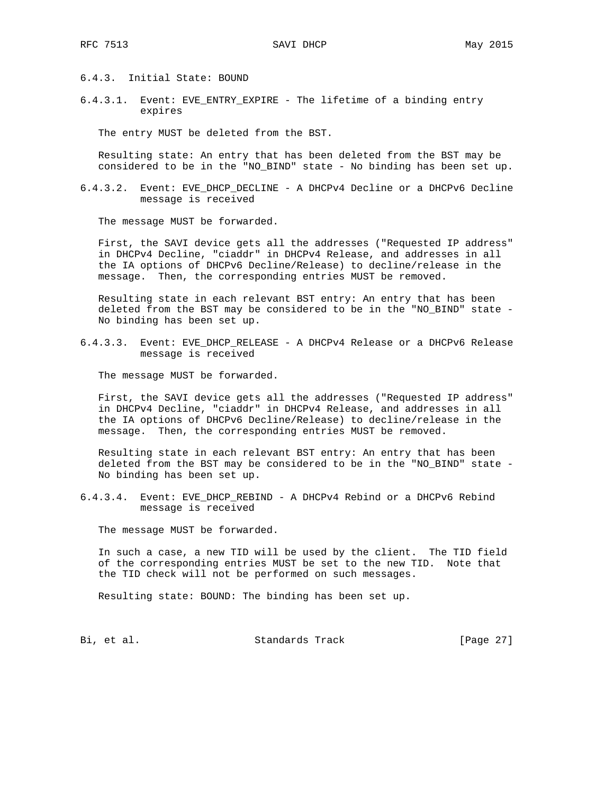6.4.3. Initial State: BOUND

6.4.3.1. Event: EVE\_ENTRY\_EXPIRE - The lifetime of a binding entry expires

The entry MUST be deleted from the BST.

 Resulting state: An entry that has been deleted from the BST may be considered to be in the "NO\_BIND" state - No binding has been set up.

6.4.3.2. Event: EVE\_DHCP\_DECLINE - A DHCPv4 Decline or a DHCPv6 Decline message is received

The message MUST be forwarded.

 First, the SAVI device gets all the addresses ("Requested IP address" in DHCPv4 Decline, "ciaddr" in DHCPv4 Release, and addresses in all the IA options of DHCPv6 Decline/Release) to decline/release in the message. Then, the corresponding entries MUST be removed.

 Resulting state in each relevant BST entry: An entry that has been deleted from the BST may be considered to be in the "NO\_BIND" state - No binding has been set up.

6.4.3.3. Event: EVE\_DHCP\_RELEASE - A DHCPv4 Release or a DHCPv6 Release message is received

The message MUST be forwarded.

 First, the SAVI device gets all the addresses ("Requested IP address" in DHCPv4 Decline, "ciaddr" in DHCPv4 Release, and addresses in all the IA options of DHCPv6 Decline/Release) to decline/release in the message. Then, the corresponding entries MUST be removed.

 Resulting state in each relevant BST entry: An entry that has been deleted from the BST may be considered to be in the "NO\_BIND" state - No binding has been set up.

6.4.3.4. Event: EVE\_DHCP\_REBIND - A DHCPv4 Rebind or a DHCPv6 Rebind message is received

The message MUST be forwarded.

 In such a case, a new TID will be used by the client. The TID field of the corresponding entries MUST be set to the new TID. Note that the TID check will not be performed on such messages.

Resulting state: BOUND: The binding has been set up.

Bi, et al. Standards Track [Page 27]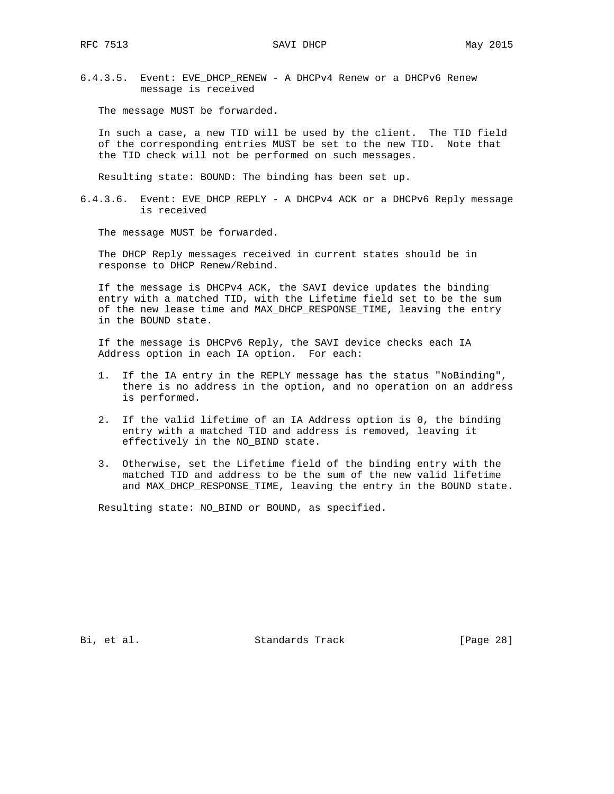6.4.3.5. Event: EVE\_DHCP\_RENEW - A DHCPv4 Renew or a DHCPv6 Renew message is received

The message MUST be forwarded.

 In such a case, a new TID will be used by the client. The TID field of the corresponding entries MUST be set to the new TID. Note that the TID check will not be performed on such messages.

Resulting state: BOUND: The binding has been set up.

6.4.3.6. Event: EVE\_DHCP\_REPLY - A DHCPv4 ACK or a DHCPv6 Reply message is received

The message MUST be forwarded.

 The DHCP Reply messages received in current states should be in response to DHCP Renew/Rebind.

 If the message is DHCPv4 ACK, the SAVI device updates the binding entry with a matched TID, with the Lifetime field set to be the sum of the new lease time and MAX\_DHCP\_RESPONSE\_TIME, leaving the entry in the BOUND state.

 If the message is DHCPv6 Reply, the SAVI device checks each IA Address option in each IA option. For each:

- 1. If the IA entry in the REPLY message has the status "NoBinding", there is no address in the option, and no operation on an address is performed.
- 2. If the valid lifetime of an IA Address option is 0, the binding entry with a matched TID and address is removed, leaving it effectively in the NO\_BIND state.
- 3. Otherwise, set the Lifetime field of the binding entry with the matched TID and address to be the sum of the new valid lifetime and MAX\_DHCP\_RESPONSE\_TIME, leaving the entry in the BOUND state.

Resulting state: NO BIND or BOUND, as specified.

Bi, et al. Standards Track [Page 28]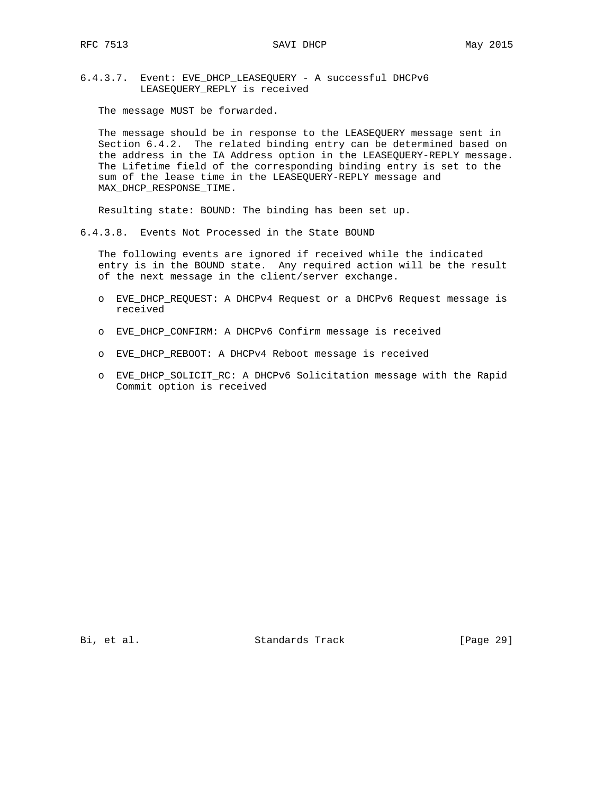6.4.3.7. Event: EVE\_DHCP\_LEASEQUERY - A successful DHCPv6 LEASEQUERY\_REPLY is received

The message MUST be forwarded.

 The message should be in response to the LEASEQUERY message sent in Section 6.4.2. The related binding entry can be determined based on the address in the IA Address option in the LEASEQUERY-REPLY message. The Lifetime field of the corresponding binding entry is set to the sum of the lease time in the LEASEQUERY-REPLY message and MAX\_DHCP\_RESPONSE\_TIME.

Resulting state: BOUND: The binding has been set up.

6.4.3.8. Events Not Processed in the State BOUND

 The following events are ignored if received while the indicated entry is in the BOUND state. Any required action will be the result of the next message in the client/server exchange.

- o EVE\_DHCP\_REQUEST: A DHCPv4 Request or a DHCPv6 Request message is received
- o EVE\_DHCP\_CONFIRM: A DHCPv6 Confirm message is received
- o EVE\_DHCP\_REBOOT: A DHCPv4 Reboot message is received
- o EVE\_DHCP\_SOLICIT\_RC: A DHCPv6 Solicitation message with the Rapid Commit option is received

Bi, et al. Standards Track [Page 29]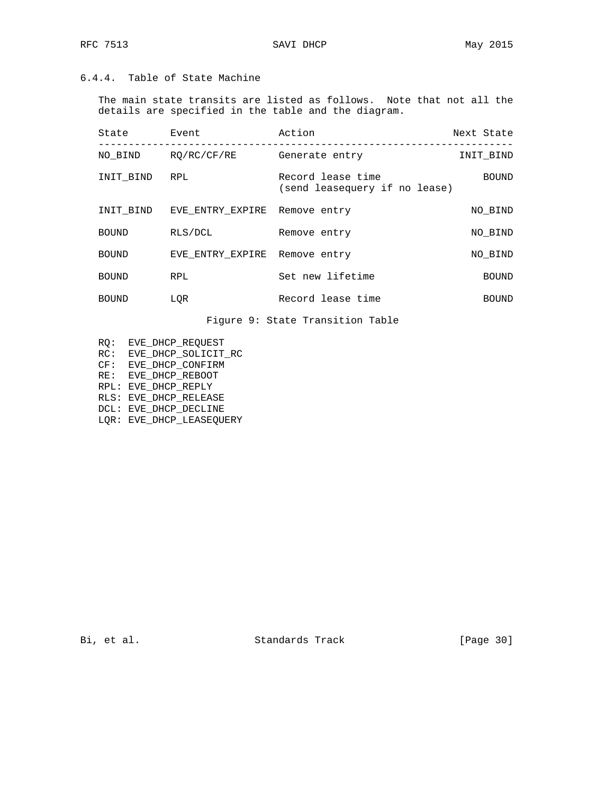# 6.4.4. Table of State Machine

 The main state transits are listed as follows. Note that not all the details are specified in the table and the diagram.

| State        | Event                         | Action                                             | Next State   |
|--------------|-------------------------------|----------------------------------------------------|--------------|
| NO BIND      | RO/RC/CF/RE                   | Generate entry                                     | INIT BIND    |
| INIT BIND    | RPL                           | Record lease time<br>(send leasequery if no lease) | <b>BOUND</b> |
| INIT BIND    | EVE ENTRY EXPIRE Remove entry |                                                    | NO BIND      |
| <b>BOUND</b> | RLS/DCL                       | Remove entry                                       | NO BIND      |
| <b>BOUND</b> | EVE ENTRY EXPIRE Remove entry |                                                    | NO BIND      |
| <b>BOUND</b> | <b>RPL</b>                    | Set new lifetime                                   | <b>BOUND</b> |
| <b>BOUND</b> | LOR                           | Record lease time                                  | <b>BOUND</b> |

Figure 9: State Transition Table

- RQ: EVE\_DHCP\_REQUEST
- RC: EVE\_DHCP\_SOLICIT\_RC
- CF: EVE\_DHCP\_CONFIRM
- RE: EVE\_DHCP\_REBOOT
	- RPL: EVE\_DHCP\_REPLY
	- RLS: EVE\_DHCP\_RELEASE
	- DCL: EVE\_DHCP\_DECLINE
	- LQR: EVE\_DHCP\_LEASEQUERY

Bi, et al. Standards Track [Page 30]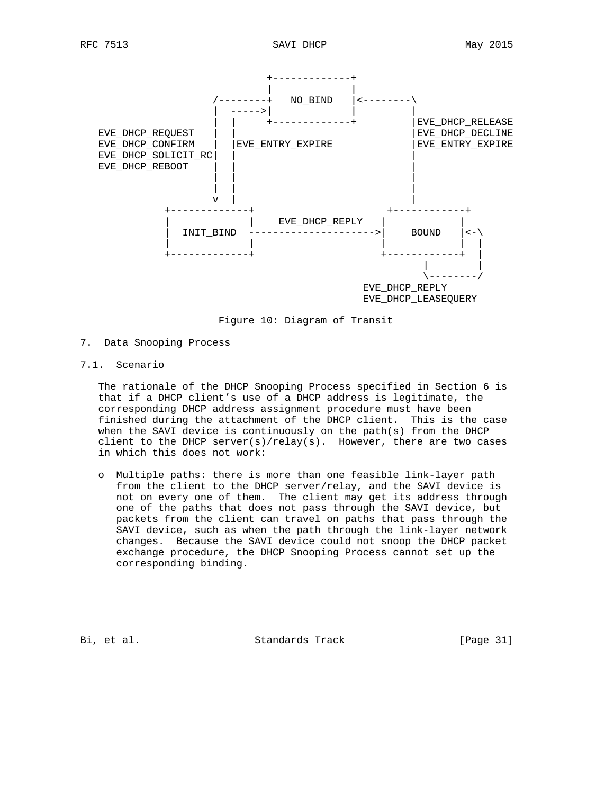

Figure 10: Diagram of Transit

- 7. Data Snooping Process
- 7.1. Scenario

 The rationale of the DHCP Snooping Process specified in Section 6 is that if a DHCP client's use of a DHCP address is legitimate, the corresponding DHCP address assignment procedure must have been finished during the attachment of the DHCP client. This is the case when the SAVI device is continuously on the path(s) from the DHCP client to the DHCP server(s)/relay(s). However, there are two cases in which this does not work:

 o Multiple paths: there is more than one feasible link-layer path from the client to the DHCP server/relay, and the SAVI device is not on every one of them. The client may get its address through one of the paths that does not pass through the SAVI device, but packets from the client can travel on paths that pass through the SAVI device, such as when the path through the link-layer network changes. Because the SAVI device could not snoop the DHCP packet exchange procedure, the DHCP Snooping Process cannot set up the corresponding binding.

Bi, et al. Standards Track [Page 31]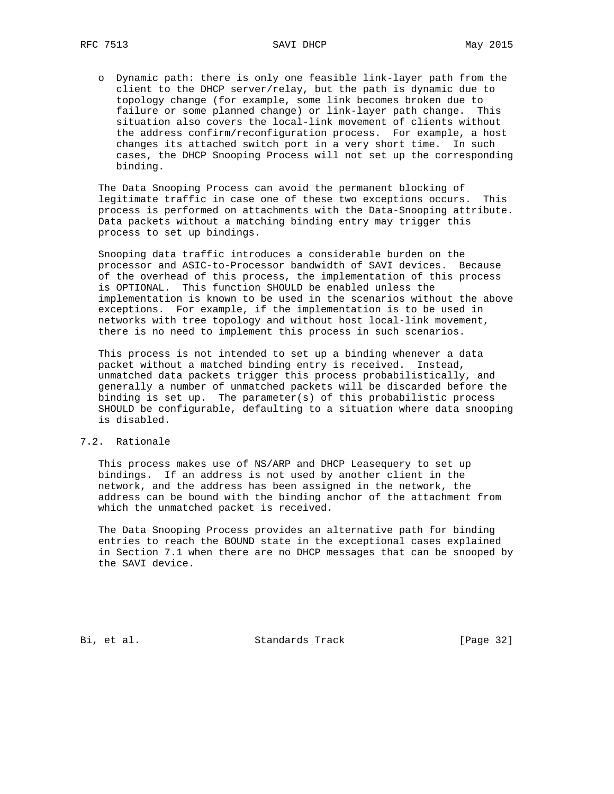o Dynamic path: there is only one feasible link-layer path from the client to the DHCP server/relay, but the path is dynamic due to topology change (for example, some link becomes broken due to failure or some planned change) or link-layer path change. This situation also covers the local-link movement of clients without the address confirm/reconfiguration process. For example, a host changes its attached switch port in a very short time. In such cases, the DHCP Snooping Process will not set up the corresponding binding.

 The Data Snooping Process can avoid the permanent blocking of legitimate traffic in case one of these two exceptions occurs. This process is performed on attachments with the Data-Snooping attribute. Data packets without a matching binding entry may trigger this process to set up bindings.

 Snooping data traffic introduces a considerable burden on the processor and ASIC-to-Processor bandwidth of SAVI devices. Because of the overhead of this process, the implementation of this process is OPTIONAL. This function SHOULD be enabled unless the implementation is known to be used in the scenarios without the above exceptions. For example, if the implementation is to be used in networks with tree topology and without host local-link movement, there is no need to implement this process in such scenarios.

 This process is not intended to set up a binding whenever a data packet without a matched binding entry is received. Instead, unmatched data packets trigger this process probabilistically, and generally a number of unmatched packets will be discarded before the binding is set up. The parameter(s) of this probabilistic process SHOULD be configurable, defaulting to a situation where data snooping is disabled.

#### 7.2. Rationale

 This process makes use of NS/ARP and DHCP Leasequery to set up bindings. If an address is not used by another client in the network, and the address has been assigned in the network, the address can be bound with the binding anchor of the attachment from which the unmatched packet is received.

 The Data Snooping Process provides an alternative path for binding entries to reach the BOUND state in the exceptional cases explained in Section 7.1 when there are no DHCP messages that can be snooped by the SAVI device.

Bi, et al. Standards Track [Page 32]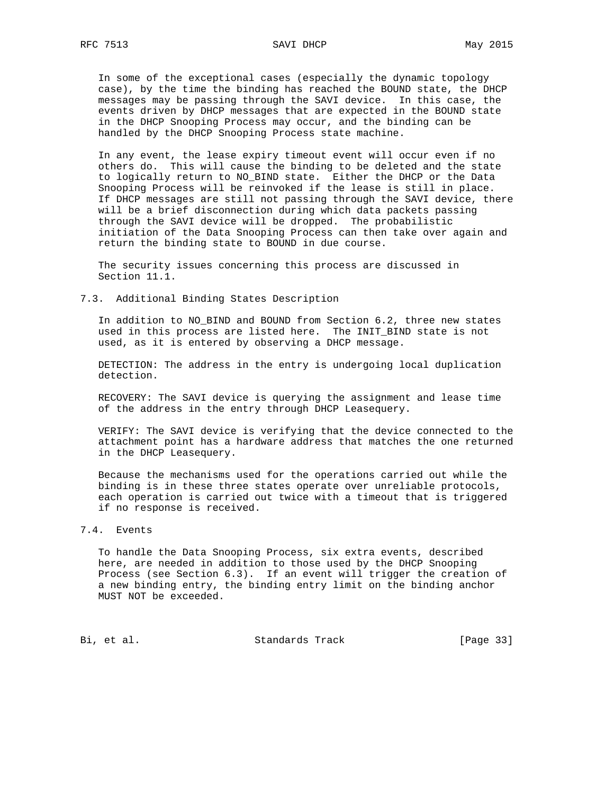In some of the exceptional cases (especially the dynamic topology case), by the time the binding has reached the BOUND state, the DHCP messages may be passing through the SAVI device. In this case, the events driven by DHCP messages that are expected in the BOUND state in the DHCP Snooping Process may occur, and the binding can be handled by the DHCP Snooping Process state machine.

 In any event, the lease expiry timeout event will occur even if no others do. This will cause the binding to be deleted and the state to logically return to NO\_BIND state. Either the DHCP or the Data Snooping Process will be reinvoked if the lease is still in place. If DHCP messages are still not passing through the SAVI device, there will be a brief disconnection during which data packets passing through the SAVI device will be dropped. The probabilistic initiation of the Data Snooping Process can then take over again and return the binding state to BOUND in due course.

 The security issues concerning this process are discussed in Section 11.1.

7.3. Additional Binding States Description

 In addition to NO\_BIND and BOUND from Section 6.2, three new states used in this process are listed here. The INIT\_BIND state is not used, as it is entered by observing a DHCP message.

 DETECTION: The address in the entry is undergoing local duplication detection.

 RECOVERY: The SAVI device is querying the assignment and lease time of the address in the entry through DHCP Leasequery.

 VERIFY: The SAVI device is verifying that the device connected to the attachment point has a hardware address that matches the one returned in the DHCP Leasequery.

 Because the mechanisms used for the operations carried out while the binding is in these three states operate over unreliable protocols, each operation is carried out twice with a timeout that is triggered if no response is received.

## 7.4. Events

 To handle the Data Snooping Process, six extra events, described here, are needed in addition to those used by the DHCP Snooping Process (see Section 6.3). If an event will trigger the creation of a new binding entry, the binding entry limit on the binding anchor MUST NOT be exceeded.

Bi, et al. Standards Track [Page 33]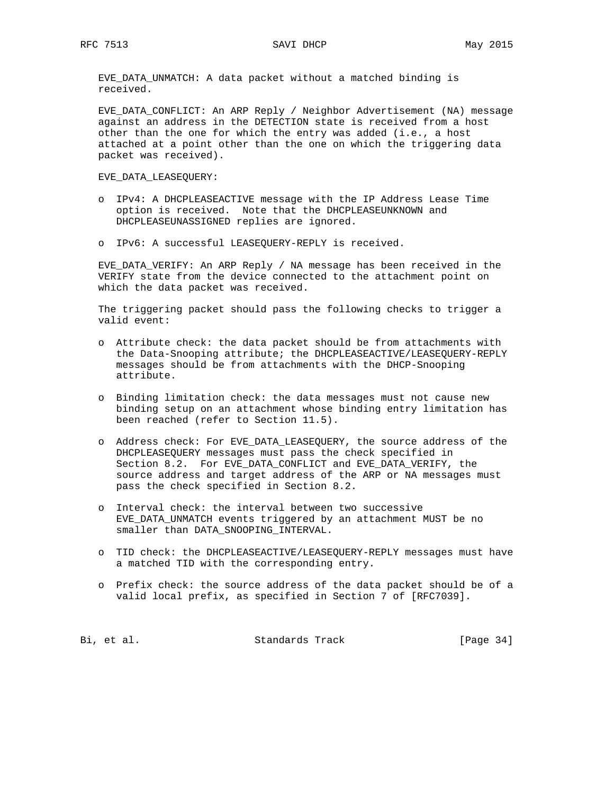EVE\_DATA\_UNMATCH: A data packet without a matched binding is received.

EVE DATA CONFLICT: An ARP Reply / Neighbor Advertisement (NA) message against an address in the DETECTION state is received from a host other than the one for which the entry was added (i.e., a host attached at a point other than the one on which the triggering data packet was received).

EVE\_DATA\_LEASEQUERY:

- o IPv4: A DHCPLEASEACTIVE message with the IP Address Lease Time option is received. Note that the DHCPLEASEUNKNOWN and DHCPLEASEUNASSIGNED replies are ignored.
- o IPv6: A successful LEASEQUERY-REPLY is received.

 EVE\_DATA\_VERIFY: An ARP Reply / NA message has been received in the VERIFY state from the device connected to the attachment point on which the data packet was received.

 The triggering packet should pass the following checks to trigger a valid event:

- o Attribute check: the data packet should be from attachments with the Data-Snooping attribute; the DHCPLEASEACTIVE/LEASEQUERY-REPLY messages should be from attachments with the DHCP-Snooping attribute.
- o Binding limitation check: the data messages must not cause new binding setup on an attachment whose binding entry limitation has been reached (refer to Section 11.5).
- o Address check: For EVE\_DATA\_LEASEQUERY, the source address of the DHCPLEASEQUERY messages must pass the check specified in Section 8.2. For EVE\_DATA\_CONFLICT and EVE\_DATA\_VERIFY, the source address and target address of the ARP or NA messages must pass the check specified in Section 8.2.
- o Interval check: the interval between two successive EVE\_DATA\_UNMATCH events triggered by an attachment MUST be no smaller than DATA\_SNOOPING\_INTERVAL.
- o TID check: the DHCPLEASEACTIVE/LEASEQUERY-REPLY messages must have a matched TID with the corresponding entry.
- o Prefix check: the source address of the data packet should be of a valid local prefix, as specified in Section 7 of [RFC7039].

Bi, et al. Standards Track [Page 34]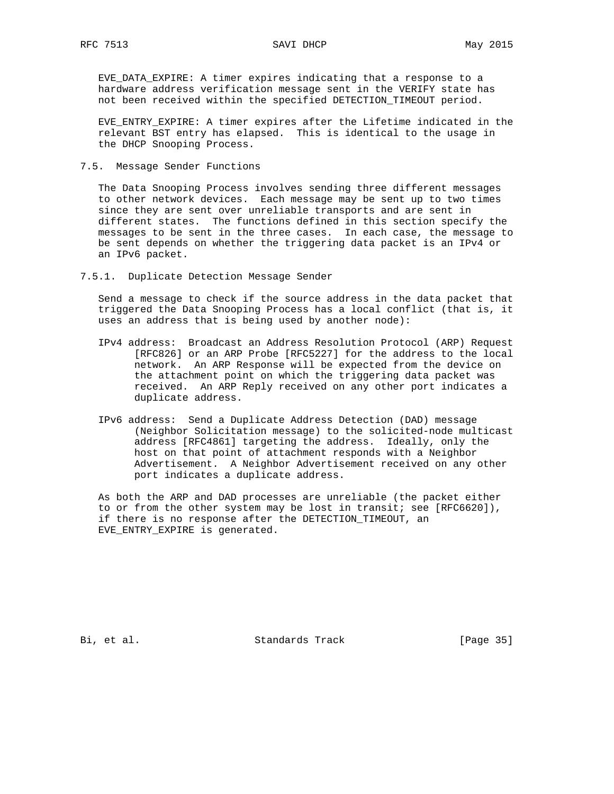EVE\_DATA\_EXPIRE: A timer expires indicating that a response to a hardware address verification message sent in the VERIFY state has not been received within the specified DETECTION\_TIMEOUT period.

 EVE\_ENTRY\_EXPIRE: A timer expires after the Lifetime indicated in the relevant BST entry has elapsed. This is identical to the usage in the DHCP Snooping Process.

7.5. Message Sender Functions

 The Data Snooping Process involves sending three different messages to other network devices. Each message may be sent up to two times since they are sent over unreliable transports and are sent in different states. The functions defined in this section specify the messages to be sent in the three cases. In each case, the message to be sent depends on whether the triggering data packet is an IPv4 or an IPv6 packet.

7.5.1. Duplicate Detection Message Sender

 Send a message to check if the source address in the data packet that triggered the Data Snooping Process has a local conflict (that is, it uses an address that is being used by another node):

- IPv4 address: Broadcast an Address Resolution Protocol (ARP) Request [RFC826] or an ARP Probe [RFC5227] for the address to the local network. An ARP Response will be expected from the device on the attachment point on which the triggering data packet was received. An ARP Reply received on any other port indicates a duplicate address.
- IPv6 address: Send a Duplicate Address Detection (DAD) message (Neighbor Solicitation message) to the solicited-node multicast address [RFC4861] targeting the address. Ideally, only the host on that point of attachment responds with a Neighbor Advertisement. A Neighbor Advertisement received on any other port indicates a duplicate address.

 As both the ARP and DAD processes are unreliable (the packet either to or from the other system may be lost in transit; see [RFC6620]), if there is no response after the DETECTION\_TIMEOUT, an EVE\_ENTRY\_EXPIRE is generated.

Bi, et al. Standards Track [Page 35]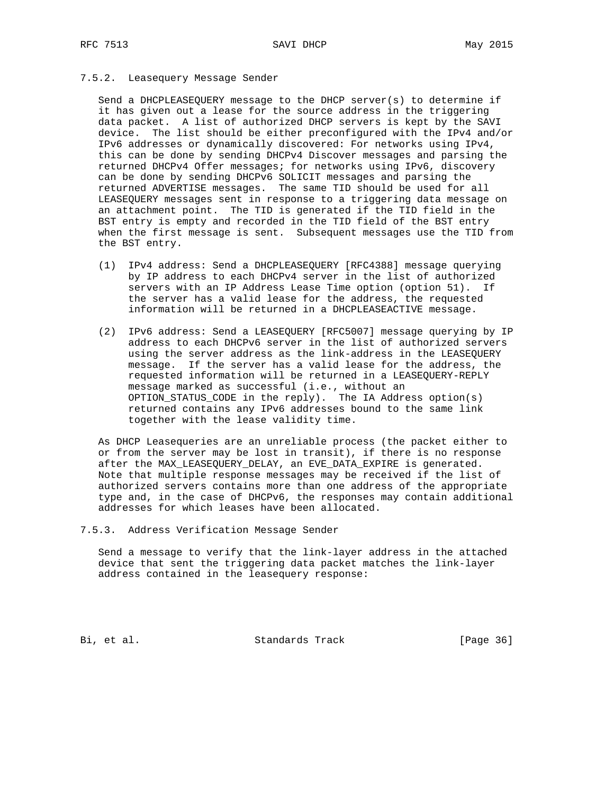### 7.5.2. Leasequery Message Sender

 Send a DHCPLEASEQUERY message to the DHCP server(s) to determine if it has given out a lease for the source address in the triggering data packet. A list of authorized DHCP servers is kept by the SAVI device. The list should be either preconfigured with the IPv4 and/or IPv6 addresses or dynamically discovered: For networks using IPv4, this can be done by sending DHCPv4 Discover messages and parsing the returned DHCPv4 Offer messages; for networks using IPv6, discovery can be done by sending DHCPv6 SOLICIT messages and parsing the returned ADVERTISE messages. The same TID should be used for all LEASEQUERY messages sent in response to a triggering data message on an attachment point. The TID is generated if the TID field in the BST entry is empty and recorded in the TID field of the BST entry when the first message is sent. Subsequent messages use the TID from the BST entry.

- (1) IPv4 address: Send a DHCPLEASEQUERY [RFC4388] message querying by IP address to each DHCPv4 server in the list of authorized servers with an IP Address Lease Time option (option 51). If the server has a valid lease for the address, the requested information will be returned in a DHCPLEASEACTIVE message.
- (2) IPv6 address: Send a LEASEQUERY [RFC5007] message querying by IP address to each DHCPv6 server in the list of authorized servers using the server address as the link-address in the LEASEQUERY message. If the server has a valid lease for the address, the requested information will be returned in a LEASEQUERY-REPLY message marked as successful (i.e., without an OPTION\_STATUS\_CODE in the reply). The IA Address option(s) returned contains any IPv6 addresses bound to the same link together with the lease validity time.

 As DHCP Leasequeries are an unreliable process (the packet either to or from the server may be lost in transit), if there is no response after the MAX\_LEASEQUERY\_DELAY, an EVE\_DATA\_EXPIRE is generated. Note that multiple response messages may be received if the list of authorized servers contains more than one address of the appropriate type and, in the case of DHCPv6, the responses may contain additional addresses for which leases have been allocated.

7.5.3. Address Verification Message Sender

 Send a message to verify that the link-layer address in the attached device that sent the triggering data packet matches the link-layer address contained in the leasequery response:

Bi, et al. Standards Track [Page 36]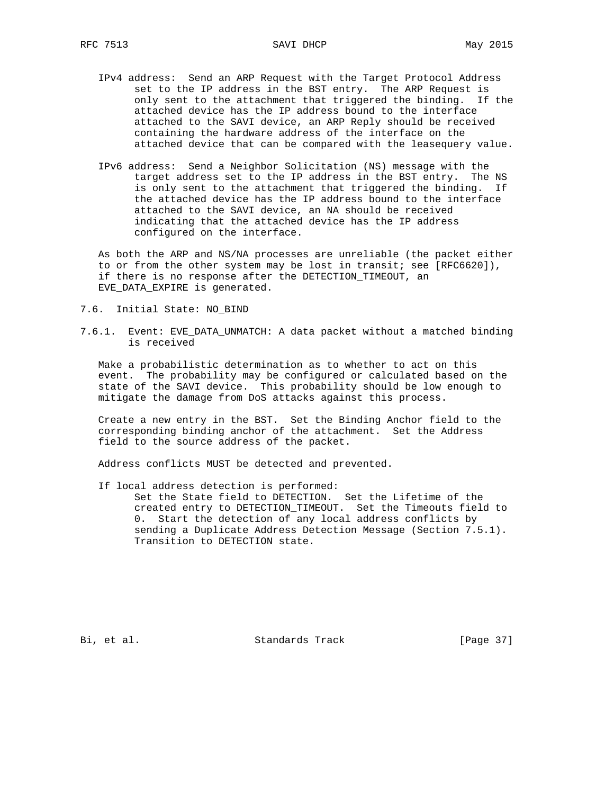- RFC 7513 SAVI DHCP May 2015
	- IPv4 address: Send an ARP Request with the Target Protocol Address set to the IP address in the BST entry. The ARP Request is only sent to the attachment that triggered the binding. If the attached device has the IP address bound to the interface attached to the SAVI device, an ARP Reply should be received containing the hardware address of the interface on the attached device that can be compared with the leasequery value.
	- IPv6 address: Send a Neighbor Solicitation (NS) message with the target address set to the IP address in the BST entry. The NS is only sent to the attachment that triggered the binding. If the attached device has the IP address bound to the interface attached to the SAVI device, an NA should be received indicating that the attached device has the IP address configured on the interface.

 As both the ARP and NS/NA processes are unreliable (the packet either to or from the other system may be lost in transit; see [RFC6620]), if there is no response after the DETECTION\_TIMEOUT, an EVE\_DATA\_EXPIRE is generated.

- 7.6. Initial State: NO\_BIND
- 7.6.1. Event: EVE\_DATA\_UNMATCH: A data packet without a matched binding is received

 Make a probabilistic determination as to whether to act on this event. The probability may be configured or calculated based on the state of the SAVI device. This probability should be low enough to mitigate the damage from DoS attacks against this process.

 Create a new entry in the BST. Set the Binding Anchor field to the corresponding binding anchor of the attachment. Set the Address field to the source address of the packet.

Address conflicts MUST be detected and prevented.

 If local address detection is performed: Set the State field to DETECTION. Set the Lifetime of the created entry to DETECTION\_TIMEOUT. Set the Timeouts field to 0. Start the detection of any local address conflicts by sending a Duplicate Address Detection Message (Section 7.5.1). Transition to DETECTION state.

Bi, et al. Standards Track [Page 37]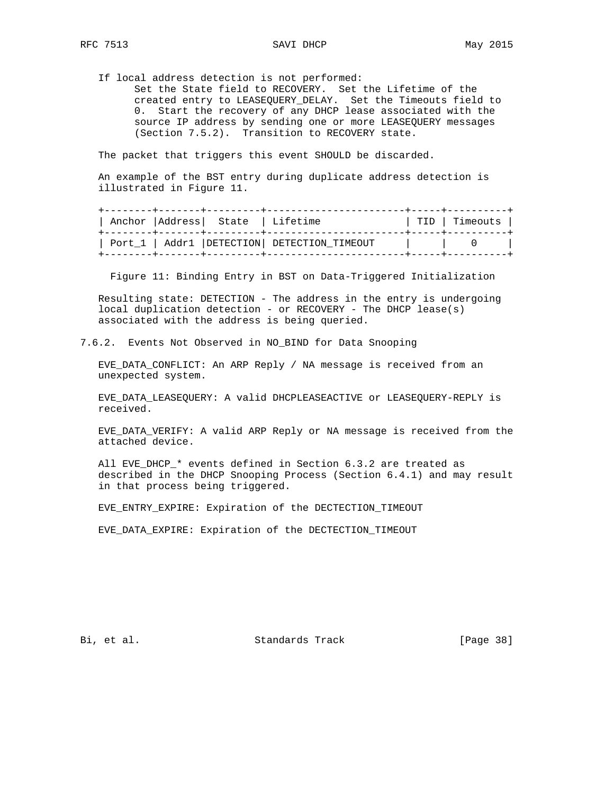If local address detection is not performed:

 Set the State field to RECOVERY. Set the Lifetime of the created entry to LEASEQUERY\_DELAY. Set the Timeouts field to 0. Start the recovery of any DHCP lease associated with the source IP address by sending one or more LEASEQUERY messages (Section 7.5.2). Transition to RECOVERY state.

The packet that triggers this event SHOULD be discarded.

 An example of the BST entry during duplicate address detection is illustrated in Figure 11.

|  | Anchor   Address   State   Lifetime |                                                | TID   Timeouts  <br>----------------- |
|--|-------------------------------------|------------------------------------------------|---------------------------------------|
|  | _______+_______+_________________   | Port 1   Addr1   DETECTION   DETECTION TIMEOUT |                                       |

Figure 11: Binding Entry in BST on Data-Triggered Initialization

 Resulting state: DETECTION - The address in the entry is undergoing local duplication detection - or RECOVERY - The DHCP lease(s) associated with the address is being queried.

7.6.2. Events Not Observed in NO\_BIND for Data Snooping

 EVE\_DATA\_CONFLICT: An ARP Reply / NA message is received from an unexpected system.

 EVE\_DATA\_LEASEQUERY: A valid DHCPLEASEACTIVE or LEASEQUERY-REPLY is received.

 EVE\_DATA\_VERIFY: A valid ARP Reply or NA message is received from the attached device.

 All EVE\_DHCP\_\* events defined in Section 6.3.2 are treated as described in the DHCP Snooping Process (Section 6.4.1) and may result in that process being triggered.

EVE\_ENTRY\_EXPIRE: Expiration of the DECTECTION\_TIMEOUT

EVE\_DATA\_EXPIRE: Expiration of the DECTECTION\_TIMEOUT

Bi, et al. Standards Track [Page 38]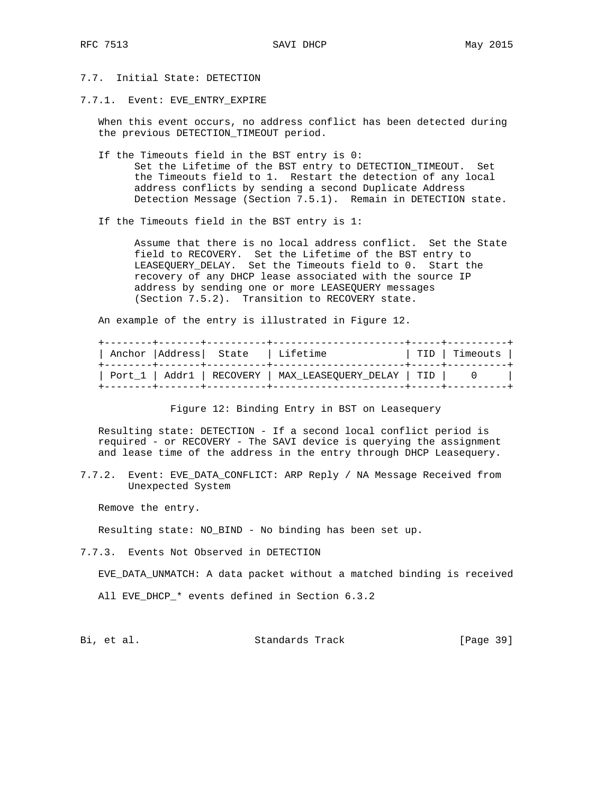## 7.7. Initial State: DETECTION

7.7.1. Event: EVE\_ENTRY\_EXPIRE

 When this event occurs, no address conflict has been detected during the previous DETECTION\_TIMEOUT period.

- If the Timeouts field in the BST entry is 0: Set the Lifetime of the BST entry to DETECTION\_TIMEOUT. Set the Timeouts field to 1. Restart the detection of any local address conflicts by sending a second Duplicate Address Detection Message (Section 7.5.1). Remain in DETECTION state.
- If the Timeouts field in the BST entry is 1:

 Assume that there is no local address conflict. Set the State field to RECOVERY. Set the Lifetime of the BST entry to LEASEQUERY\_DELAY. Set the Timeouts field to 0. Start the recovery of any DHCP lease associated with the source IP address by sending one or more LEASEQUERY messages (Section 7.5.2). Transition to RECOVERY state.

An example of the entry is illustrated in Figure 12.

|  | ----+-------+----------+-----<br>Anchor   Address   State   Lifetime | . _ _ _ _ _ _ _ + _ _ _ _ _ _ _ + _ _ _ _ _ _ _ _ _ _ _ _ + _ _ _ _ _ _ _ _ _ _ | TID   Timeouts |
|--|----------------------------------------------------------------------|---------------------------------------------------------------------------------|----------------|
|  |                                                                      | Port_1   Addr1   RECOVERY   MAX_LEASEQUERY_DELAY   TID                          |                |

Figure 12: Binding Entry in BST on Leasequery

 Resulting state: DETECTION - If a second local conflict period is required - or RECOVERY - The SAVI device is querying the assignment and lease time of the address in the entry through DHCP Leasequery.

7.7.2. Event: EVE\_DATA\_CONFLICT: ARP Reply / NA Message Received from Unexpected System

Remove the entry.

Resulting state: NO\_BIND - No binding has been set up.

7.7.3. Events Not Observed in DETECTION

EVE\_DATA\_UNMATCH: A data packet without a matched binding is received

All EVE\_DHCP\_\* events defined in Section 6.3.2

Bi, et al. Standards Track [Page 39]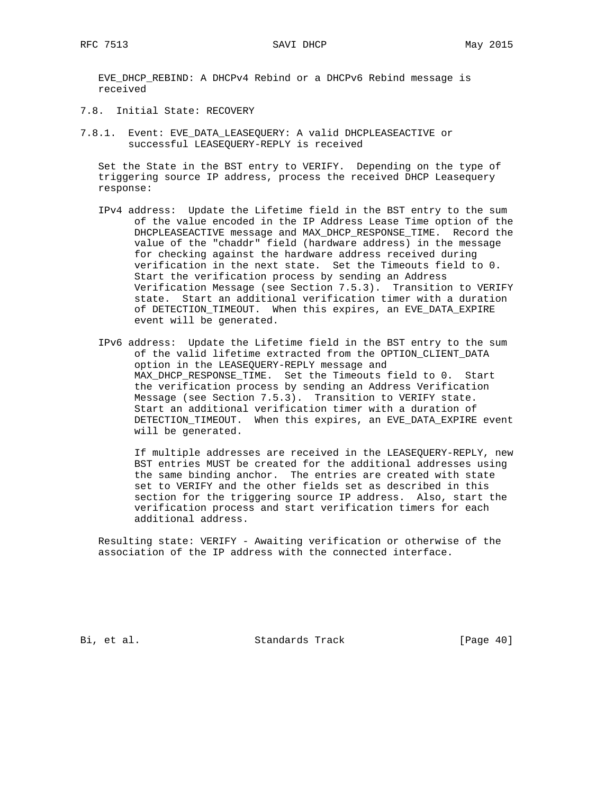EVE\_DHCP\_REBIND: A DHCPv4 Rebind or a DHCPv6 Rebind message is received

- 7.8. Initial State: RECOVERY
- 7.8.1. Event: EVE\_DATA\_LEASEQUERY: A valid DHCPLEASEACTIVE or successful LEASEQUERY-REPLY is received

 Set the State in the BST entry to VERIFY. Depending on the type of triggering source IP address, process the received DHCP Leasequery response:

- IPv4 address: Update the Lifetime field in the BST entry to the sum of the value encoded in the IP Address Lease Time option of the DHCPLEASEACTIVE message and MAX\_DHCP\_RESPONSE\_TIME. Record the value of the "chaddr" field (hardware address) in the message for checking against the hardware address received during verification in the next state. Set the Timeouts field to 0. Start the verification process by sending an Address Verification Message (see Section 7.5.3). Transition to VERIFY state. Start an additional verification timer with a duration of DETECTION\_TIMEOUT. When this expires, an EVE\_DATA\_EXPIRE event will be generated.
- IPv6 address: Update the Lifetime field in the BST entry to the sum of the valid lifetime extracted from the OPTION\_CLIENT\_DATA option in the LEASEQUERY-REPLY message and MAX\_DHCP\_RESPONSE\_TIME. Set the Timeouts field to 0. Start the verification process by sending an Address Verification Message (see Section 7.5.3). Transition to VERIFY state. Start an additional verification timer with a duration of DETECTION\_TIMEOUT. When this expires, an EVE\_DATA\_EXPIRE event will be generated.

 If multiple addresses are received in the LEASEQUERY-REPLY, new BST entries MUST be created for the additional addresses using the same binding anchor. The entries are created with state set to VERIFY and the other fields set as described in this section for the triggering source IP address. Also, start the verification process and start verification timers for each additional address.

 Resulting state: VERIFY - Awaiting verification or otherwise of the association of the IP address with the connected interface.

Bi, et al. Standards Track [Page 40]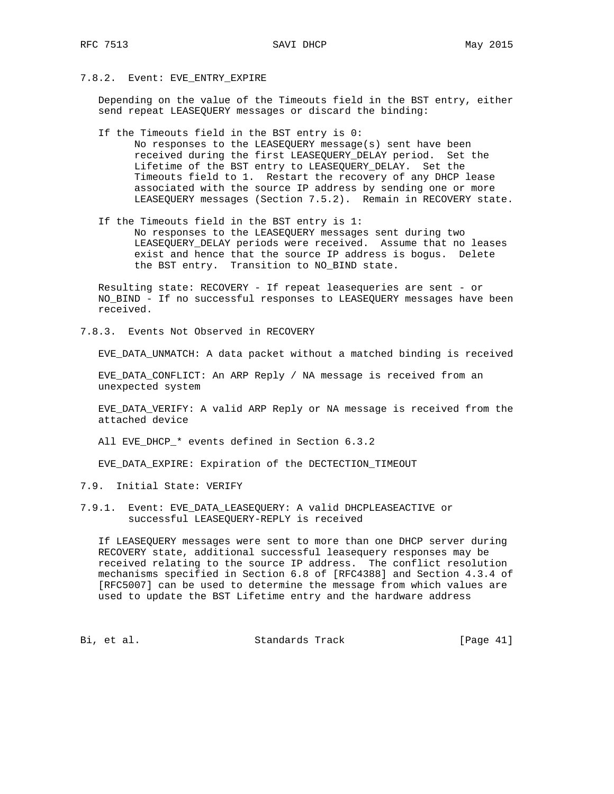## 7.8.2. Event: EVE\_ENTRY\_EXPIRE

 Depending on the value of the Timeouts field in the BST entry, either send repeat LEASEQUERY messages or discard the binding:

- If the Timeouts field in the BST entry is 0: No responses to the LEASEQUERY message(s) sent have been received during the first LEASEQUERY\_DELAY period. Set the Lifetime of the BST entry to LEASEQUERY\_DELAY. Set the Timeouts field to 1. Restart the recovery of any DHCP lease associated with the source IP address by sending one or more LEASEQUERY messages (Section 7.5.2). Remain in RECOVERY state.
- If the Timeouts field in the BST entry is 1: No responses to the LEASEQUERY messages sent during two LEASEQUERY\_DELAY periods were received. Assume that no leases exist and hence that the source IP address is bogus. Delete the BST entry. Transition to NO\_BIND state.

 Resulting state: RECOVERY - If repeat leasequeries are sent - or NO\_BIND - If no successful responses to LEASEQUERY messages have been received.

7.8.3. Events Not Observed in RECOVERY

EVE\_DATA\_UNMATCH: A data packet without a matched binding is received

 EVE\_DATA\_CONFLICT: An ARP Reply / NA message is received from an unexpected system

 EVE\_DATA\_VERIFY: A valid ARP Reply or NA message is received from the attached device

All EVE\_DHCP\_\* events defined in Section 6.3.2

EVE\_DATA\_EXPIRE: Expiration of the DECTECTION\_TIMEOUT

- 7.9. Initial State: VERIFY
- 7.9.1. Event: EVE\_DATA\_LEASEQUERY: A valid DHCPLEASEACTIVE or successful LEASEQUERY-REPLY is received

 If LEASEQUERY messages were sent to more than one DHCP server during RECOVERY state, additional successful leasequery responses may be received relating to the source IP address. The conflict resolution mechanisms specified in Section 6.8 of [RFC4388] and Section 4.3.4 of [RFC5007] can be used to determine the message from which values are used to update the BST Lifetime entry and the hardware address

Bi, et al. Standards Track [Page 41]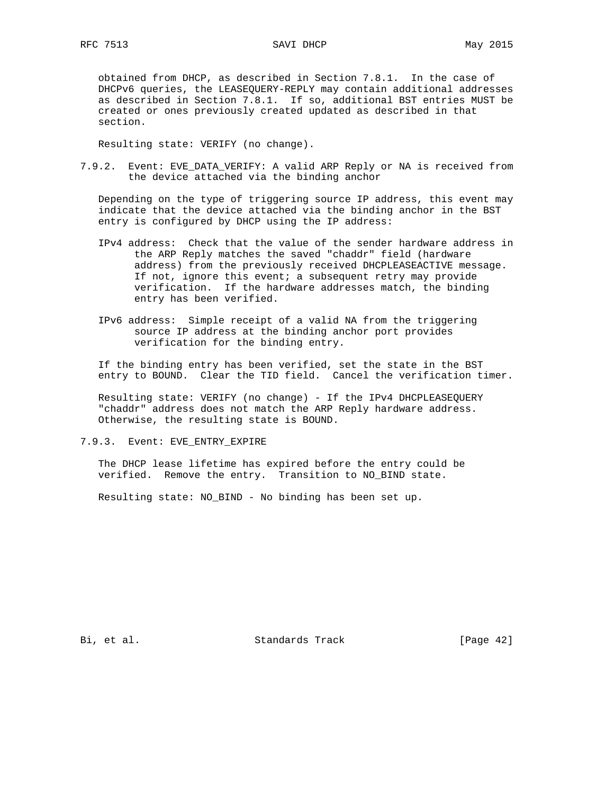obtained from DHCP, as described in Section 7.8.1. In the case of DHCPv6 queries, the LEASEQUERY-REPLY may contain additional addresses as described in Section 7.8.1. If so, additional BST entries MUST be created or ones previously created updated as described in that section.

Resulting state: VERIFY (no change).

7.9.2. Event: EVE\_DATA\_VERIFY: A valid ARP Reply or NA is received from the device attached via the binding anchor

 Depending on the type of triggering source IP address, this event may indicate that the device attached via the binding anchor in the BST entry is configured by DHCP using the IP address:

- IPv4 address: Check that the value of the sender hardware address in the ARP Reply matches the saved "chaddr" field (hardware address) from the previously received DHCPLEASEACTIVE message. If not, ignore this event; a subsequent retry may provide verification. If the hardware addresses match, the binding entry has been verified.
- IPv6 address: Simple receipt of a valid NA from the triggering source IP address at the binding anchor port provides verification for the binding entry.

 If the binding entry has been verified, set the state in the BST entry to BOUND. Clear the TID field. Cancel the verification timer.

 Resulting state: VERIFY (no change) - If the IPv4 DHCPLEASEQUERY "chaddr" address does not match the ARP Reply hardware address. Otherwise, the resulting state is BOUND.

7.9.3. Event: EVE\_ENTRY\_EXPIRE

 The DHCP lease lifetime has expired before the entry could be verified. Remove the entry. Transition to NO\_BIND state.

Resulting state: NO\_BIND - No binding has been set up.

Bi, et al. Standards Track [Page 42]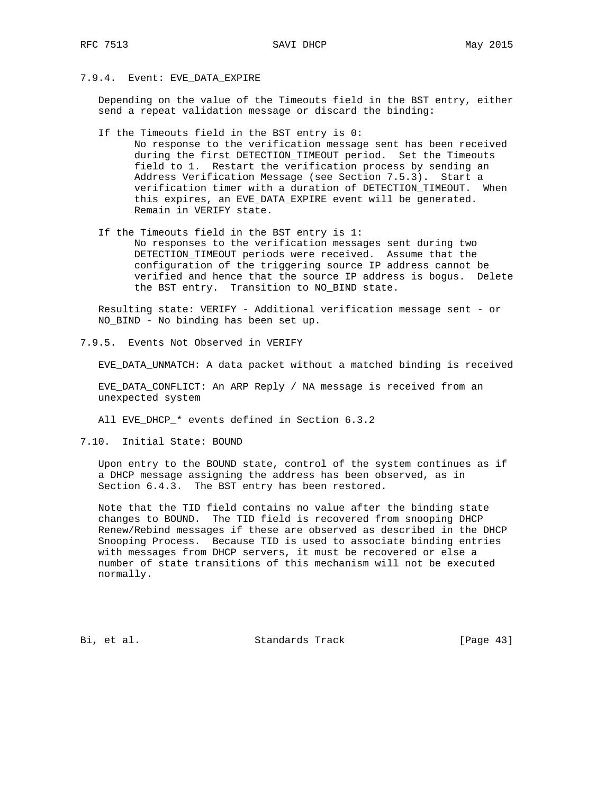### 7.9.4. Event: EVE\_DATA\_EXPIRE

 Depending on the value of the Timeouts field in the BST entry, either send a repeat validation message or discard the binding:

If the Timeouts field in the BST entry is 0:

 No response to the verification message sent has been received during the first DETECTION\_TIMEOUT period. Set the Timeouts field to 1. Restart the verification process by sending an Address Verification Message (see Section 7.5.3). Start a verification timer with a duration of DETECTION\_TIMEOUT. When this expires, an EVE\_DATA\_EXPIRE event will be generated. Remain in VERIFY state.

 If the Timeouts field in the BST entry is 1: No responses to the verification messages sent during two DETECTION\_TIMEOUT periods were received. Assume that the configuration of the triggering source IP address cannot be verified and hence that the source IP address is bogus. Delete the BST entry. Transition to NO\_BIND state.

 Resulting state: VERIFY - Additional verification message sent - or NO\_BIND - No binding has been set up.

7.9.5. Events Not Observed in VERIFY

EVE\_DATA\_UNMATCH: A data packet without a matched binding is received

 EVE\_DATA\_CONFLICT: An ARP Reply / NA message is received from an unexpected system

All EVE\_DHCP\_\* events defined in Section 6.3.2

7.10. Initial State: BOUND

 Upon entry to the BOUND state, control of the system continues as if a DHCP message assigning the address has been observed, as in Section 6.4.3. The BST entry has been restored.

 Note that the TID field contains no value after the binding state changes to BOUND. The TID field is recovered from snooping DHCP Renew/Rebind messages if these are observed as described in the DHCP Snooping Process. Because TID is used to associate binding entries with messages from DHCP servers, it must be recovered or else a number of state transitions of this mechanism will not be executed normally.

Bi, et al. Standards Track [Page 43]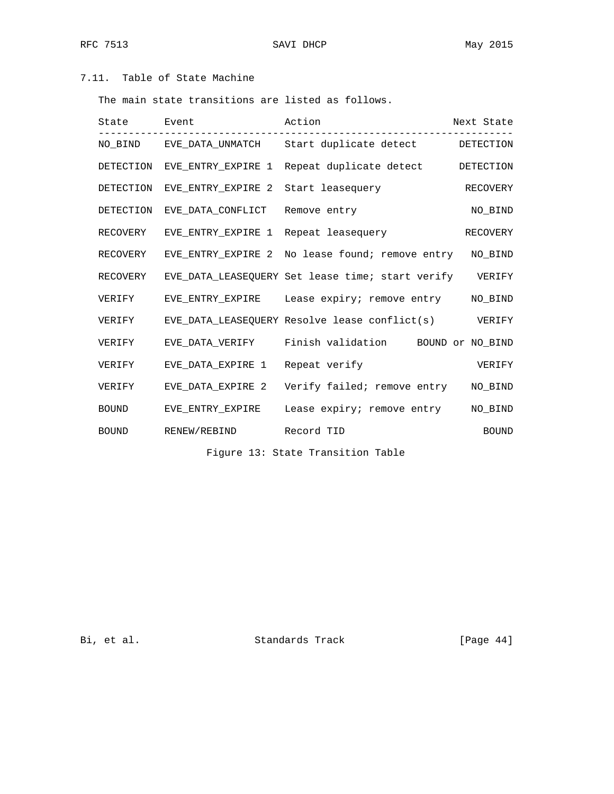# 7.11. Table of State Machine

The main state transitions are listed as follows.

| State Event |                                      | Action                                                    | Next State   |
|-------------|--------------------------------------|-----------------------------------------------------------|--------------|
|             |                                      | NO_BIND EVE_DATA_UNMATCH Start duplicate detect DETECTION |              |
| DETECTION   |                                      | EVE ENTRY EXPIRE 1 Repeat duplicate detect                | DETECTION    |
| DETECTION   | EVE_ENTRY_EXPIRE 2 Start leasequery  |                                                           | RECOVERY     |
| DETECTION   | EVE DATA CONFLICT                    | Remove entry                                              | NO BIND      |
| RECOVERY    | EVE ENTRY EXPIRE 1 Repeat leasequery |                                                           | RECOVERY     |
| RECOVERY    |                                      | EVE ENTRY EXPIRE 2 No lease found; remove entry           | NO BIND      |
| RECOVERY    |                                      | EVE DATA LEASEOUERY Set lease time; start verify          | VERIFY       |
| VERIFY      |                                      | EVE_ENTRY_EXPIRE Lease expiry; remove entry MO_BIND       |              |
| VERIFY      |                                      | EVE DATA LEASEOUERY Resolve lease conflict(s)             | VERIFY       |
| VERIFY      |                                      | EVE_DATA_VERIFY Finish validation BOUND or NO_BIND        |              |
| VERIFY      | EVE_DATA_EXPIRE 1 Repeat verify      |                                                           | VERIFY       |
| VERIFY      |                                      | EVE_DATA_EXPIRE 2    Verify failed; remove entry          | NO BIND      |
| BOUND       | EVE ENTRY EXPIRE                     | Lease expiry; remove entry                                | NO BIND      |
| BOUND       | RENEW/REBIND                         | Record TID                                                | <b>BOUND</b> |

Figure 13: State Transition Table

Bi, et al. Standards Track [Page 44]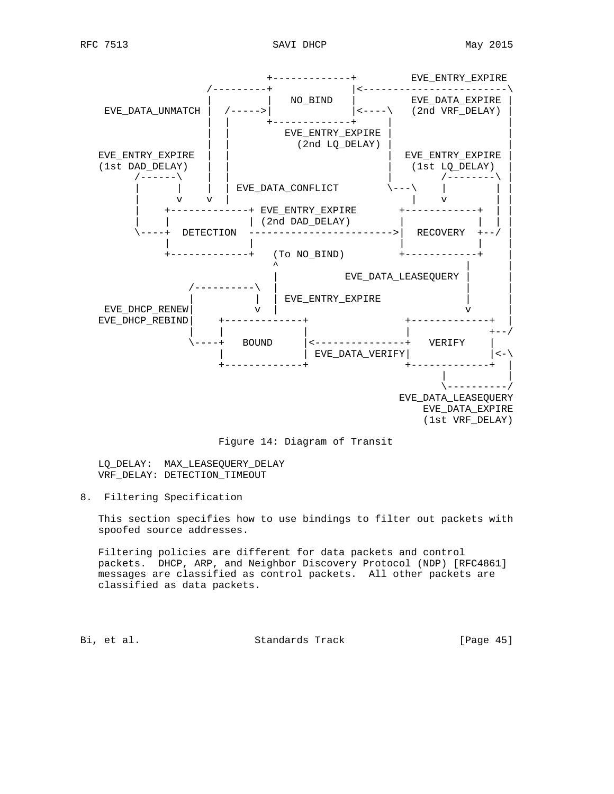



 LQ\_DELAY: MAX\_LEASEQUERY\_DELAY VRF DELAY: DETECTION TIMEOUT

8. Filtering Specification

 This section specifies how to use bindings to filter out packets with spoofed source addresses.

 Filtering policies are different for data packets and control packets. DHCP, ARP, and Neighbor Discovery Protocol (NDP) [RFC4861] messages are classified as control packets. All other packets are classified as data packets.

Bi, et al. Standards Track [Page 45]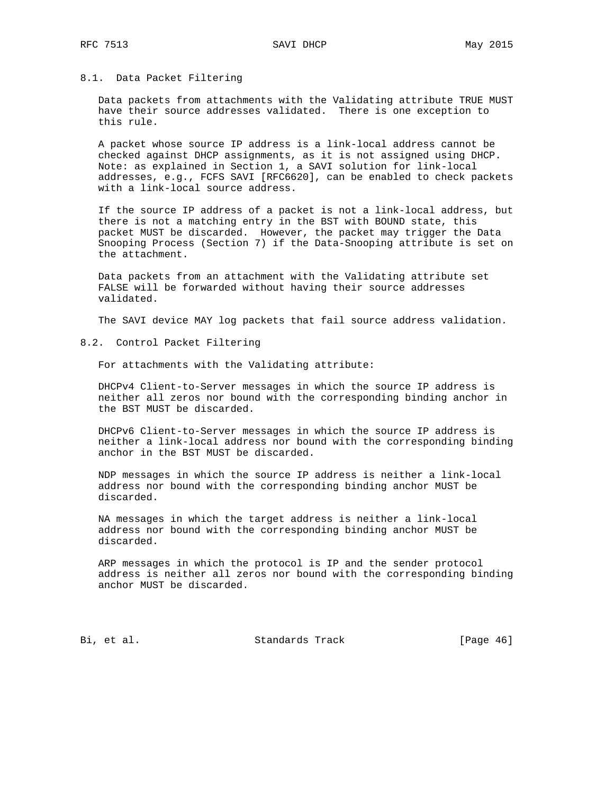### 8.1. Data Packet Filtering

 Data packets from attachments with the Validating attribute TRUE MUST have their source addresses validated. There is one exception to this rule.

 A packet whose source IP address is a link-local address cannot be checked against DHCP assignments, as it is not assigned using DHCP. Note: as explained in Section 1, a SAVI solution for link-local addresses, e.g., FCFS SAVI [RFC6620], can be enabled to check packets with a link-local source address.

 If the source IP address of a packet is not a link-local address, but there is not a matching entry in the BST with BOUND state, this packet MUST be discarded. However, the packet may trigger the Data Snooping Process (Section 7) if the Data-Snooping attribute is set on the attachment.

 Data packets from an attachment with the Validating attribute set FALSE will be forwarded without having their source addresses validated.

The SAVI device MAY log packets that fail source address validation.

8.2. Control Packet Filtering

For attachments with the Validating attribute:

 DHCPv4 Client-to-Server messages in which the source IP address is neither all zeros nor bound with the corresponding binding anchor in the BST MUST be discarded.

 DHCPv6 Client-to-Server messages in which the source IP address is neither a link-local address nor bound with the corresponding binding anchor in the BST MUST be discarded.

 NDP messages in which the source IP address is neither a link-local address nor bound with the corresponding binding anchor MUST be discarded.

 NA messages in which the target address is neither a link-local address nor bound with the corresponding binding anchor MUST be discarded.

 ARP messages in which the protocol is IP and the sender protocol address is neither all zeros nor bound with the corresponding binding anchor MUST be discarded.

Bi, et al. Standards Track [Page 46]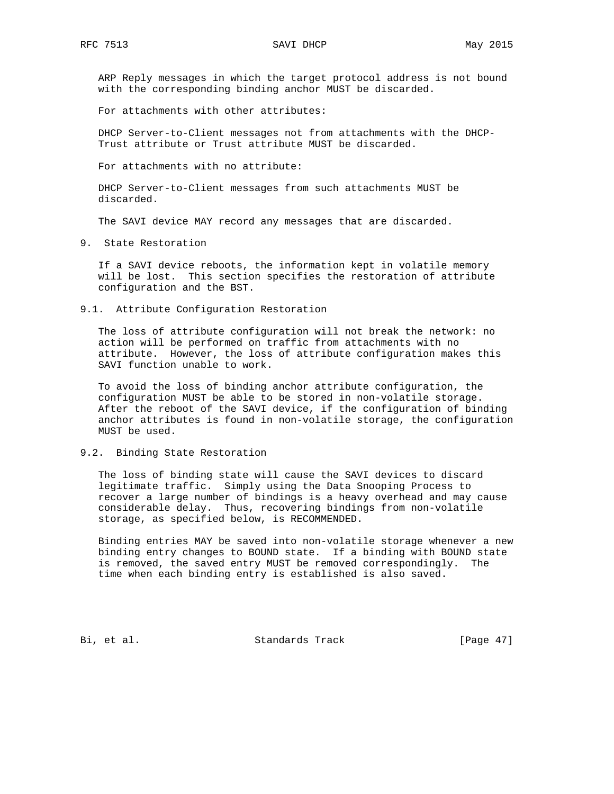ARP Reply messages in which the target protocol address is not bound with the corresponding binding anchor MUST be discarded.

For attachments with other attributes:

 DHCP Server-to-Client messages not from attachments with the DHCP- Trust attribute or Trust attribute MUST be discarded.

For attachments with no attribute:

 DHCP Server-to-Client messages from such attachments MUST be discarded.

The SAVI device MAY record any messages that are discarded.

9. State Restoration

 If a SAVI device reboots, the information kept in volatile memory will be lost. This section specifies the restoration of attribute configuration and the BST.

9.1. Attribute Configuration Restoration

 The loss of attribute configuration will not break the network: no action will be performed on traffic from attachments with no attribute. However, the loss of attribute configuration makes this SAVI function unable to work.

 To avoid the loss of binding anchor attribute configuration, the configuration MUST be able to be stored in non-volatile storage. After the reboot of the SAVI device, if the configuration of binding anchor attributes is found in non-volatile storage, the configuration MUST be used.

#### 9.2. Binding State Restoration

 The loss of binding state will cause the SAVI devices to discard legitimate traffic. Simply using the Data Snooping Process to recover a large number of bindings is a heavy overhead and may cause considerable delay. Thus, recovering bindings from non-volatile storage, as specified below, is RECOMMENDED.

 Binding entries MAY be saved into non-volatile storage whenever a new binding entry changes to BOUND state. If a binding with BOUND state is removed, the saved entry MUST be removed correspondingly. The time when each binding entry is established is also saved.

Bi, et al. Standards Track [Page 47]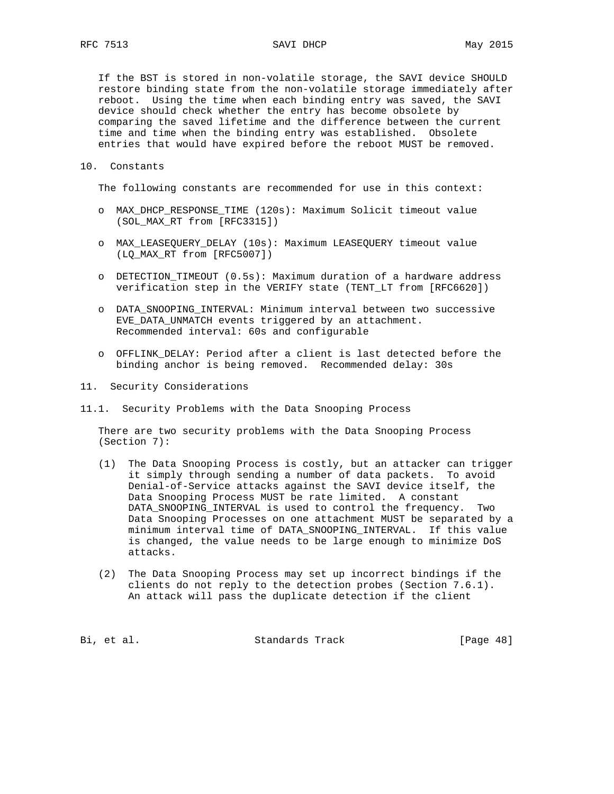If the BST is stored in non-volatile storage, the SAVI device SHOULD restore binding state from the non-volatile storage immediately after reboot. Using the time when each binding entry was saved, the SAVI device should check whether the entry has become obsolete by comparing the saved lifetime and the difference between the current time and time when the binding entry was established. Obsolete entries that would have expired before the reboot MUST be removed.

10. Constants

The following constants are recommended for use in this context:

- o MAX\_DHCP\_RESPONSE\_TIME (120s): Maximum Solicit timeout value (SOL\_MAX\_RT from [RFC3315])
- o MAX\_LEASEQUERY\_DELAY (10s): Maximum LEASEQUERY timeout value (LQ\_MAX\_RT from [RFC5007])
- o DETECTION\_TIMEOUT (0.5s): Maximum duration of a hardware address verification step in the VERIFY state (TENT\_LT from [RFC6620])
- o DATA\_SNOOPING\_INTERVAL: Minimum interval between two successive EVE\_DATA\_UNMATCH events triggered by an attachment. Recommended interval: 60s and configurable
- o OFFLINK\_DELAY: Period after a client is last detected before the binding anchor is being removed. Recommended delay: 30s
- 11. Security Considerations
- 11.1. Security Problems with the Data Snooping Process

 There are two security problems with the Data Snooping Process (Section 7):

- (1) The Data Snooping Process is costly, but an attacker can trigger it simply through sending a number of data packets. To avoid Denial-of-Service attacks against the SAVI device itself, the Data Snooping Process MUST be rate limited. A constant DATA\_SNOOPING\_INTERVAL is used to control the frequency. Two Data Snooping Processes on one attachment MUST be separated by a minimum interval time of DATA\_SNOOPING\_INTERVAL. If this value is changed, the value needs to be large enough to minimize DoS attacks.
- (2) The Data Snooping Process may set up incorrect bindings if the clients do not reply to the detection probes (Section 7.6.1). An attack will pass the duplicate detection if the client

Bi, et al. Standards Track [Page 48]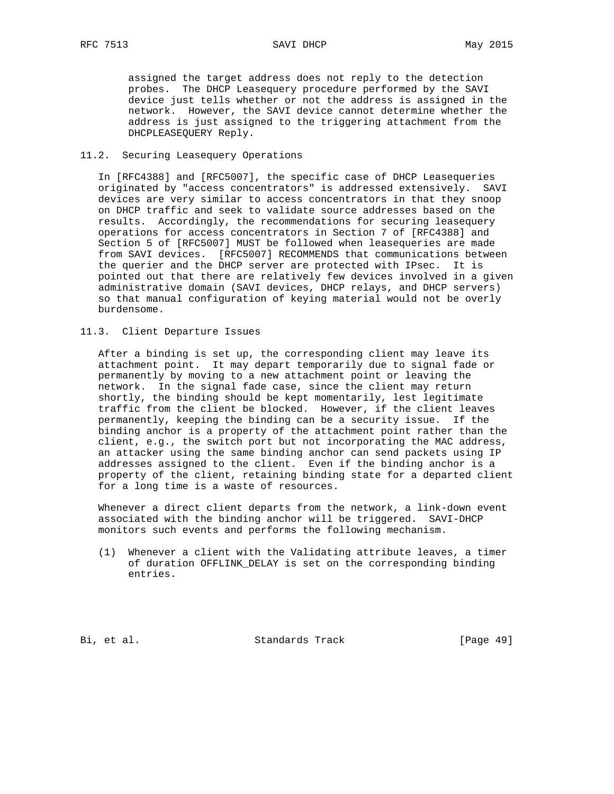assigned the target address does not reply to the detection probes. The DHCP Leasequery procedure performed by the SAVI device just tells whether or not the address is assigned in the network. However, the SAVI device cannot determine whether the address is just assigned to the triggering attachment from the DHCPLEASEQUERY Reply.

#### 11.2. Securing Leasequery Operations

 In [RFC4388] and [RFC5007], the specific case of DHCP Leasequeries originated by "access concentrators" is addressed extensively. SAVI devices are very similar to access concentrators in that they snoop on DHCP traffic and seek to validate source addresses based on the results. Accordingly, the recommendations for securing leasequery operations for access concentrators in Section 7 of [RFC4388] and Section 5 of [RFC5007] MUST be followed when leasequeries are made from SAVI devices. [RFC5007] RECOMMENDS that communications between the querier and the DHCP server are protected with IPsec. It is pointed out that there are relatively few devices involved in a given administrative domain (SAVI devices, DHCP relays, and DHCP servers) so that manual configuration of keying material would not be overly burdensome.

11.3. Client Departure Issues

 After a binding is set up, the corresponding client may leave its attachment point. It may depart temporarily due to signal fade or permanently by moving to a new attachment point or leaving the network. In the signal fade case, since the client may return shortly, the binding should be kept momentarily, lest legitimate traffic from the client be blocked. However, if the client leaves permanently, keeping the binding can be a security issue. If the binding anchor is a property of the attachment point rather than the client, e.g., the switch port but not incorporating the MAC address, an attacker using the same binding anchor can send packets using IP addresses assigned to the client. Even if the binding anchor is a property of the client, retaining binding state for a departed client for a long time is a waste of resources.

 Whenever a direct client departs from the network, a link-down event associated with the binding anchor will be triggered. SAVI-DHCP monitors such events and performs the following mechanism.

 (1) Whenever a client with the Validating attribute leaves, a timer of duration OFFLINK\_DELAY is set on the corresponding binding entries.

Bi, et al. Standards Track [Page 49]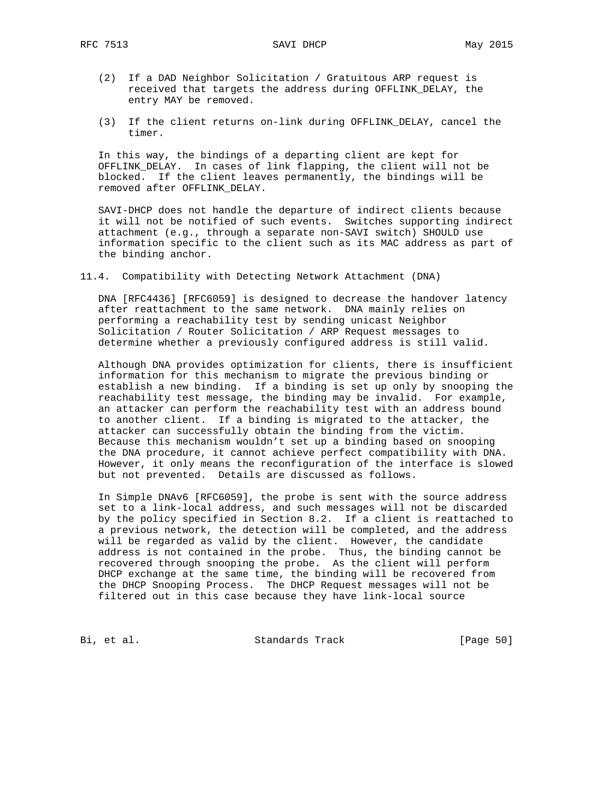- (2) If a DAD Neighbor Solicitation / Gratuitous ARP request is received that targets the address during OFFLINK\_DELAY, the entry MAY be removed.
- (3) If the client returns on-link during OFFLINK\_DELAY, cancel the timer.

 In this way, the bindings of a departing client are kept for OFFLINK\_DELAY. In cases of link flapping, the client will not be blocked. If the client leaves permanently, the bindings will be removed after OFFLINK\_DELAY.

 SAVI-DHCP does not handle the departure of indirect clients because it will not be notified of such events. Switches supporting indirect attachment (e.g., through a separate non-SAVI switch) SHOULD use information specific to the client such as its MAC address as part of the binding anchor.

11.4. Compatibility with Detecting Network Attachment (DNA)

 DNA [RFC4436] [RFC6059] is designed to decrease the handover latency after reattachment to the same network. DNA mainly relies on performing a reachability test by sending unicast Neighbor Solicitation / Router Solicitation / ARP Request messages to determine whether a previously configured address is still valid.

 Although DNA provides optimization for clients, there is insufficient information for this mechanism to migrate the previous binding or establish a new binding. If a binding is set up only by snooping the reachability test message, the binding may be invalid. For example, an attacker can perform the reachability test with an address bound to another client. If a binding is migrated to the attacker, the attacker can successfully obtain the binding from the victim. Because this mechanism wouldn't set up a binding based on snooping the DNA procedure, it cannot achieve perfect compatibility with DNA. However, it only means the reconfiguration of the interface is slowed but not prevented. Details are discussed as follows.

 In Simple DNAv6 [RFC6059], the probe is sent with the source address set to a link-local address, and such messages will not be discarded by the policy specified in Section 8.2. If a client is reattached to a previous network, the detection will be completed, and the address will be regarded as valid by the client. However, the candidate address is not contained in the probe. Thus, the binding cannot be recovered through snooping the probe. As the client will perform DHCP exchange at the same time, the binding will be recovered from the DHCP Snooping Process. The DHCP Request messages will not be filtered out in this case because they have link-local source

Bi, et al. Standards Track [Page 50]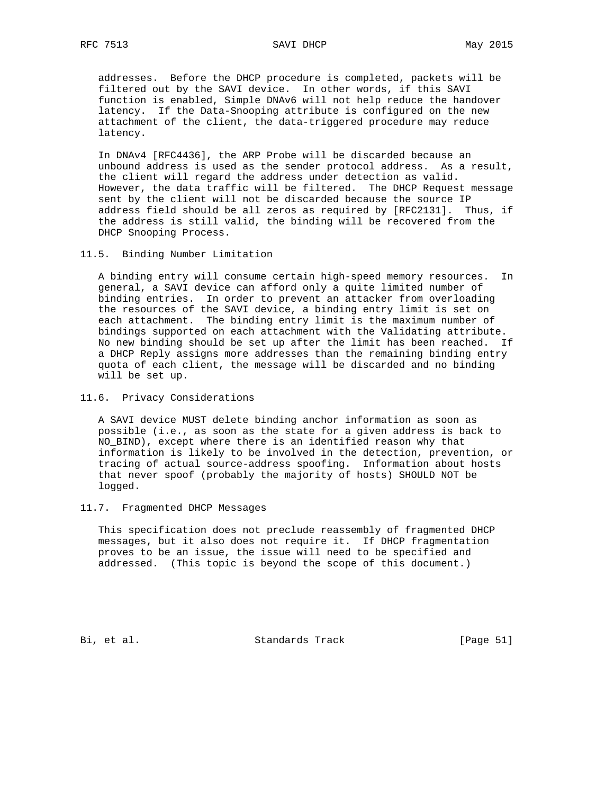addresses. Before the DHCP procedure is completed, packets will be filtered out by the SAVI device. In other words, if this SAVI function is enabled, Simple DNAv6 will not help reduce the handover latency. If the Data-Snooping attribute is configured on the new attachment of the client, the data-triggered procedure may reduce latency.

 In DNAv4 [RFC4436], the ARP Probe will be discarded because an unbound address is used as the sender protocol address. As a result, the client will regard the address under detection as valid. However, the data traffic will be filtered. The DHCP Request message sent by the client will not be discarded because the source IP address field should be all zeros as required by [RFC2131]. Thus, if the address is still valid, the binding will be recovered from the DHCP Snooping Process.

11.5. Binding Number Limitation

 A binding entry will consume certain high-speed memory resources. In general, a SAVI device can afford only a quite limited number of binding entries. In order to prevent an attacker from overloading the resources of the SAVI device, a binding entry limit is set on each attachment. The binding entry limit is the maximum number of bindings supported on each attachment with the Validating attribute. No new binding should be set up after the limit has been reached. If a DHCP Reply assigns more addresses than the remaining binding entry quota of each client, the message will be discarded and no binding will be set up.

11.6. Privacy Considerations

 A SAVI device MUST delete binding anchor information as soon as possible (i.e., as soon as the state for a given address is back to NO\_BIND), except where there is an identified reason why that information is likely to be involved in the detection, prevention, or tracing of actual source-address spoofing. Information about hosts that never spoof (probably the majority of hosts) SHOULD NOT be logged.

### 11.7. Fragmented DHCP Messages

 This specification does not preclude reassembly of fragmented DHCP messages, but it also does not require it. If DHCP fragmentation proves to be an issue, the issue will need to be specified and addressed. (This topic is beyond the scope of this document.)

Bi, et al. Standards Track [Page 51]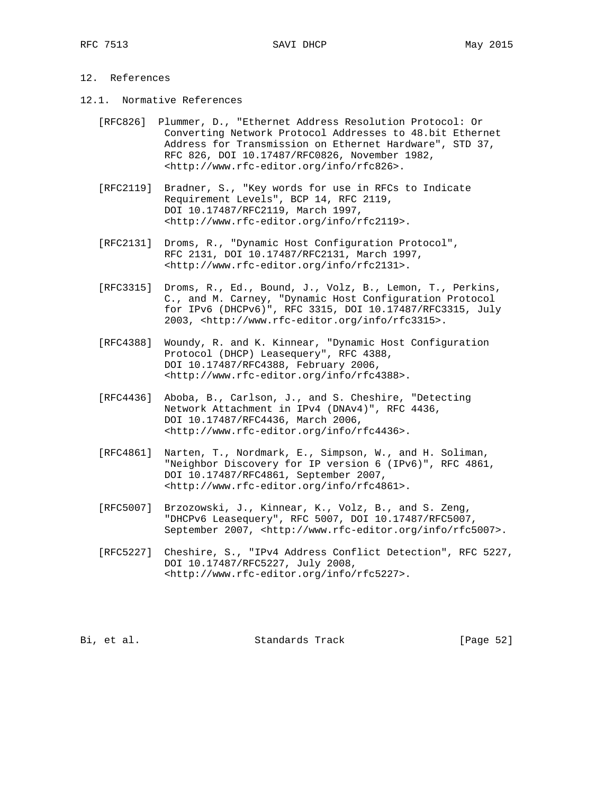## 12. References

- 12.1. Normative References
	- [RFC826] Plummer, D., "Ethernet Address Resolution Protocol: Or Converting Network Protocol Addresses to 48.bit Ethernet Address for Transmission on Ethernet Hardware", STD 37, RFC 826, DOI 10.17487/RFC0826, November 1982, <http://www.rfc-editor.org/info/rfc826>.
	- [RFC2119] Bradner, S., "Key words for use in RFCs to Indicate Requirement Levels", BCP 14, RFC 2119, DOI 10.17487/RFC2119, March 1997, <http://www.rfc-editor.org/info/rfc2119>.
	- [RFC2131] Droms, R., "Dynamic Host Configuration Protocol", RFC 2131, DOI 10.17487/RFC2131, March 1997, <http://www.rfc-editor.org/info/rfc2131>.
	- [RFC3315] Droms, R., Ed., Bound, J., Volz, B., Lemon, T., Perkins, C., and M. Carney, "Dynamic Host Configuration Protocol for IPv6 (DHCPv6)", RFC 3315, DOI 10.17487/RFC3315, July 2003, <http://www.rfc-editor.org/info/rfc3315>.
	- [RFC4388] Woundy, R. and K. Kinnear, "Dynamic Host Configuration Protocol (DHCP) Leasequery", RFC 4388, DOI 10.17487/RFC4388, February 2006, <http://www.rfc-editor.org/info/rfc4388>.
	- [RFC4436] Aboba, B., Carlson, J., and S. Cheshire, "Detecting Network Attachment in IPv4 (DNAv4)", RFC 4436, DOI 10.17487/RFC4436, March 2006, <http://www.rfc-editor.org/info/rfc4436>.
	- [RFC4861] Narten, T., Nordmark, E., Simpson, W., and H. Soliman, "Neighbor Discovery for IP version 6 (IPv6)", RFC 4861, DOI 10.17487/RFC4861, September 2007, <http://www.rfc-editor.org/info/rfc4861>.
	- [RFC5007] Brzozowski, J., Kinnear, K., Volz, B., and S. Zeng, "DHCPv6 Leasequery", RFC 5007, DOI 10.17487/RFC5007, September 2007, <http://www.rfc-editor.org/info/rfc5007>.
	- [RFC5227] Cheshire, S., "IPv4 Address Conflict Detection", RFC 5227, DOI 10.17487/RFC5227, July 2008, <http://www.rfc-editor.org/info/rfc5227>.

Bi, et al. Standards Track [Page 52]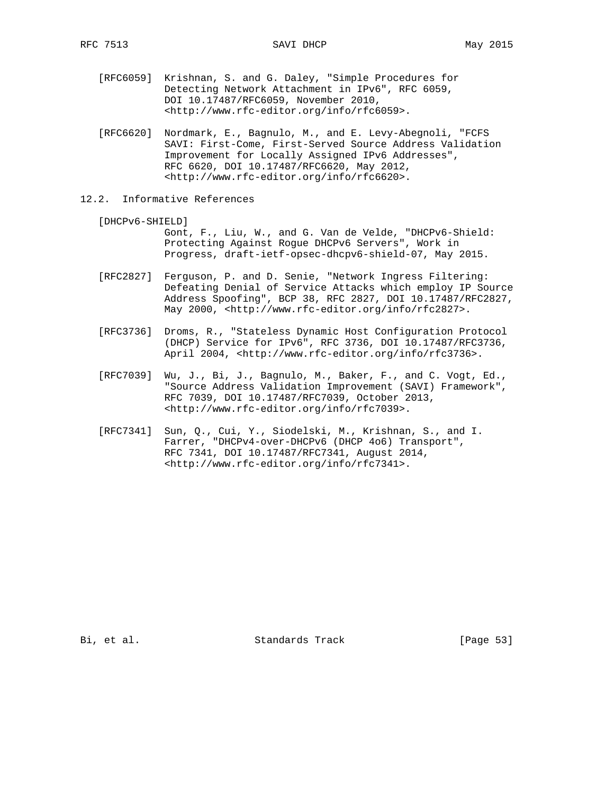- [RFC6059] Krishnan, S. and G. Daley, "Simple Procedures for Detecting Network Attachment in IPv6", RFC 6059, DOI 10.17487/RFC6059, November 2010, <http://www.rfc-editor.org/info/rfc6059>.
- [RFC6620] Nordmark, E., Bagnulo, M., and E. Levy-Abegnoli, "FCFS SAVI: First-Come, First-Served Source Address Validation Improvement for Locally Assigned IPv6 Addresses", RFC 6620, DOI 10.17487/RFC6620, May 2012, <http://www.rfc-editor.org/info/rfc6620>.
- 12.2. Informative References

[DHCPv6-SHIELD]

 Gont, F., Liu, W., and G. Van de Velde, "DHCPv6-Shield: Protecting Against Rogue DHCPv6 Servers", Work in Progress, draft-ietf-opsec-dhcpv6-shield-07, May 2015.

- [RFC2827] Ferguson, P. and D. Senie, "Network Ingress Filtering: Defeating Denial of Service Attacks which employ IP Source Address Spoofing", BCP 38, RFC 2827, DOI 10.17487/RFC2827, May 2000, <http://www.rfc-editor.org/info/rfc2827>.
- [RFC3736] Droms, R., "Stateless Dynamic Host Configuration Protocol (DHCP) Service for IPv6", RFC 3736, DOI 10.17487/RFC3736, April 2004, <http://www.rfc-editor.org/info/rfc3736>.
- [RFC7039] Wu, J., Bi, J., Bagnulo, M., Baker, F., and C. Vogt, Ed., "Source Address Validation Improvement (SAVI) Framework", RFC 7039, DOI 10.17487/RFC7039, October 2013, <http://www.rfc-editor.org/info/rfc7039>.
- [RFC7341] Sun, Q., Cui, Y., Siodelski, M., Krishnan, S., and I. Farrer, "DHCPv4-over-DHCPv6 (DHCP 4o6) Transport", RFC 7341, DOI 10.17487/RFC7341, August 2014, <http://www.rfc-editor.org/info/rfc7341>.

Bi, et al. Standards Track [Page 53]